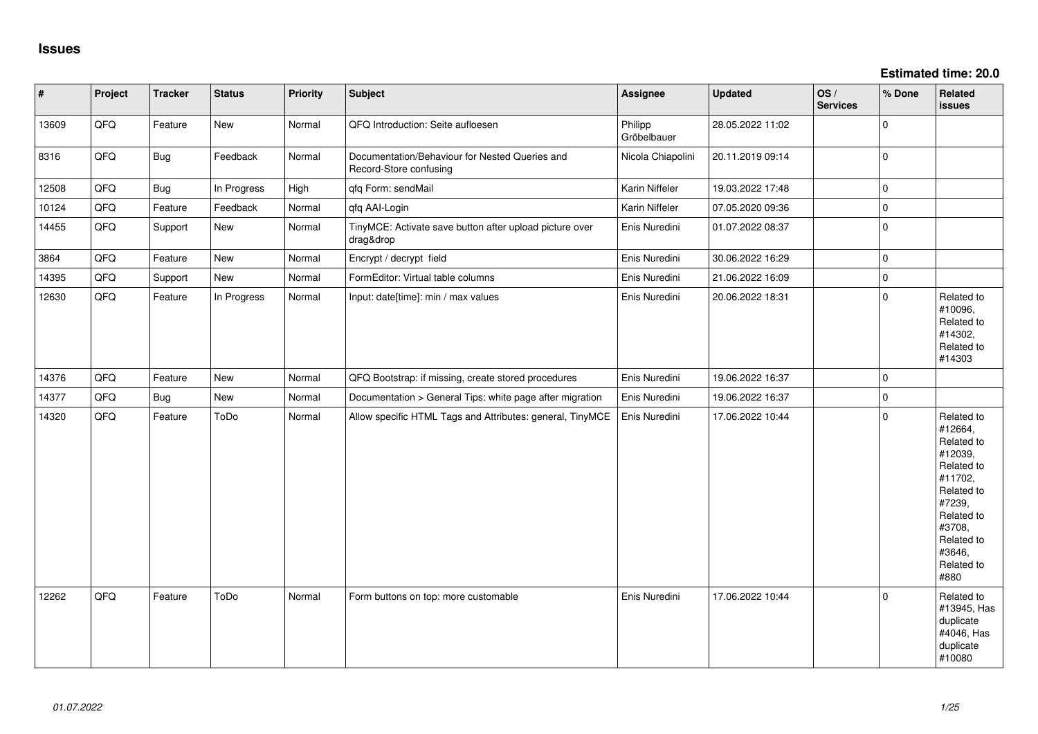| $\vert$ # | Project | <b>Tracker</b> | <b>Status</b> | <b>Priority</b> | Subject                                                                  | Assignee               | <b>Updated</b>   | OS/<br><b>Services</b> | % Done      | Related<br><b>issues</b>                                                                                                                                              |
|-----------|---------|----------------|---------------|-----------------|--------------------------------------------------------------------------|------------------------|------------------|------------------------|-------------|-----------------------------------------------------------------------------------------------------------------------------------------------------------------------|
| 13609     | QFQ     | Feature        | New           | Normal          | QFQ Introduction: Seite aufloesen                                        | Philipp<br>Gröbelbauer | 28.05.2022 11:02 |                        | $\mathbf 0$ |                                                                                                                                                                       |
| 8316      | QFQ     | Bug            | Feedback      | Normal          | Documentation/Behaviour for Nested Queries and<br>Record-Store confusing | Nicola Chiapolini      | 20.11.2019 09:14 |                        | $\mathbf 0$ |                                                                                                                                                                       |
| 12508     | QFQ     | Bug            | In Progress   | High            | qfq Form: sendMail                                                       | Karin Niffeler         | 19.03.2022 17:48 |                        | $\mathbf 0$ |                                                                                                                                                                       |
| 10124     | QFQ     | Feature        | Feedback      | Normal          | qfq AAI-Login                                                            | Karin Niffeler         | 07.05.2020 09:36 |                        | $\mathbf 0$ |                                                                                                                                                                       |
| 14455     | QFQ     | Support        | New           | Normal          | TinyMCE: Activate save button after upload picture over<br>drag&drop     | Enis Nuredini          | 01.07.2022 08:37 |                        | $\mathbf 0$ |                                                                                                                                                                       |
| 3864      | QFQ     | Feature        | <b>New</b>    | Normal          | Encrypt / decrypt field                                                  | Enis Nuredini          | 30.06.2022 16:29 |                        | $\mathbf 0$ |                                                                                                                                                                       |
| 14395     | QFQ     | Support        | New           | Normal          | FormEditor: Virtual table columns                                        | Enis Nuredini          | 21.06.2022 16:09 |                        | $\mathbf 0$ |                                                                                                                                                                       |
| 12630     | QFQ     | Feature        | In Progress   | Normal          | Input: date[time]: min / max values                                      | Enis Nuredini          | 20.06.2022 18:31 |                        | $\Omega$    | Related to<br>#10096,<br>Related to<br>#14302,<br>Related to<br>#14303                                                                                                |
| 14376     | QFQ     | Feature        | New           | Normal          | QFQ Bootstrap: if missing, create stored procedures                      | Enis Nuredini          | 19.06.2022 16:37 |                        | $\mathbf 0$ |                                                                                                                                                                       |
| 14377     | QFQ     | <b>Bug</b>     | New           | Normal          | Documentation > General Tips: white page after migration                 | Enis Nuredini          | 19.06.2022 16:37 |                        | $\mathbf 0$ |                                                                                                                                                                       |
| 14320     | QFQ     | Feature        | ToDo          | Normal          | Allow specific HTML Tags and Attributes: general, TinyMCE                | Enis Nuredini          | 17.06.2022 10:44 |                        | $\mathbf 0$ | Related to<br>#12664,<br>Related to<br>#12039,<br>Related to<br>#11702,<br>Related to<br>#7239,<br>Related to<br>#3708,<br>Related to<br>#3646,<br>Related to<br>#880 |
| 12262     | QFQ     | Feature        | ToDo          | Normal          | Form buttons on top: more customable                                     | Enis Nuredini          | 17.06.2022 10:44 |                        | $\Omega$    | Related to<br>#13945, Has<br>duplicate<br>#4046, Has<br>duplicate<br>#10080                                                                                           |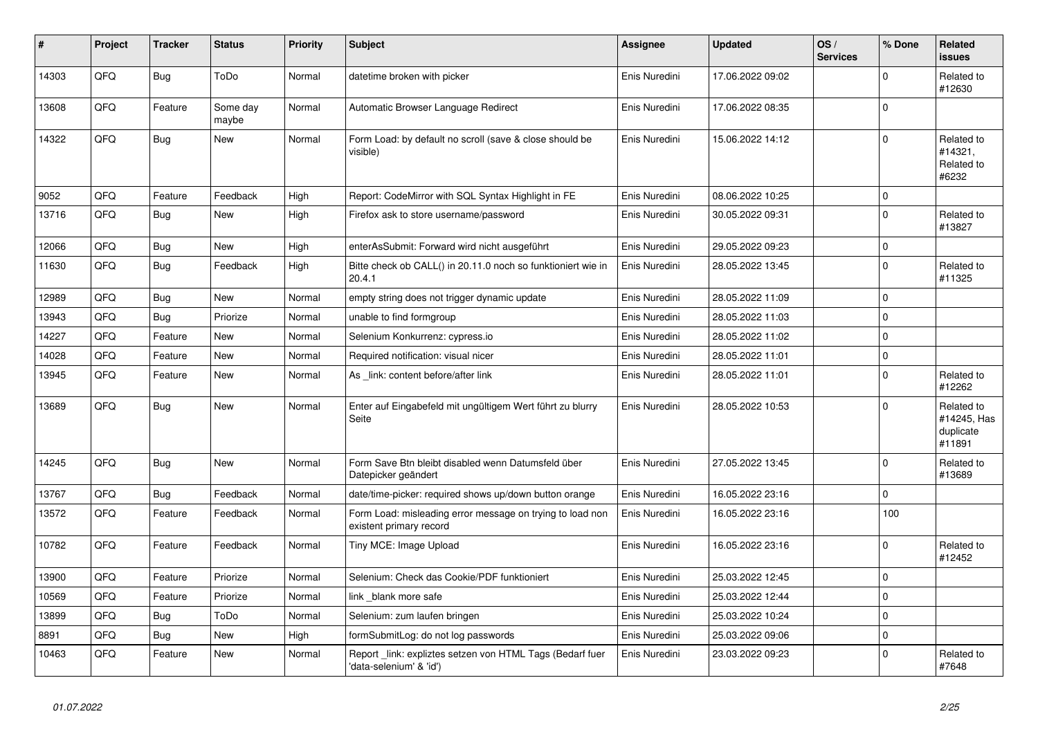| #     | Project | <b>Tracker</b> | <b>Status</b>     | <b>Priority</b> | <b>Subject</b>                                                                       | Assignee      | Updated          | OS/<br><b>Services</b> | % Done      | <b>Related</b><br><b>issues</b>                  |
|-------|---------|----------------|-------------------|-----------------|--------------------------------------------------------------------------------------|---------------|------------------|------------------------|-------------|--------------------------------------------------|
| 14303 | QFQ     | Bug            | ToDo              | Normal          | datetime broken with picker                                                          | Enis Nuredini | 17.06.2022 09:02 |                        | $\mathbf 0$ | Related to<br>#12630                             |
| 13608 | QFQ     | Feature        | Some day<br>maybe | Normal          | Automatic Browser Language Redirect                                                  | Enis Nuredini | 17.06.2022 08:35 |                        | $\pmb{0}$   |                                                  |
| 14322 | QFQ     | Bug            | New               | Normal          | Form Load: by default no scroll (save & close should be<br>visible)                  | Enis Nuredini | 15.06.2022 14:12 |                        | $\mathbf 0$ | Related to<br>#14321,<br>Related to<br>#6232     |
| 9052  | QFQ     | Feature        | Feedback          | High            | Report: CodeMirror with SQL Syntax Highlight in FE                                   | Enis Nuredini | 08.06.2022 10:25 |                        | $\mathbf 0$ |                                                  |
| 13716 | QFQ     | Bug            | New               | High            | Firefox ask to store username/password                                               | Enis Nuredini | 30.05.2022 09:31 |                        | $\Omega$    | Related to<br>#13827                             |
| 12066 | QFQ     | <b>Bug</b>     | New               | High            | enterAsSubmit: Forward wird nicht ausgeführt                                         | Enis Nuredini | 29.05.2022 09:23 |                        | $\Omega$    |                                                  |
| 11630 | QFQ     | <b>Bug</b>     | Feedback          | High            | Bitte check ob CALL() in 20.11.0 noch so funktioniert wie in<br>20.4.1               | Enis Nuredini | 28.05.2022 13:45 |                        | $\Omega$    | Related to<br>#11325                             |
| 12989 | QFQ     | <b>Bug</b>     | <b>New</b>        | Normal          | empty string does not trigger dynamic update                                         | Enis Nuredini | 28.05.2022 11:09 |                        | $\pmb{0}$   |                                                  |
| 13943 | QFQ     | <b>Bug</b>     | Priorize          | Normal          | unable to find formgroup                                                             | Enis Nuredini | 28.05.2022 11:03 |                        | $\Omega$    |                                                  |
| 14227 | QFQ     | Feature        | <b>New</b>        | Normal          | Selenium Konkurrenz: cypress.io                                                      | Enis Nuredini | 28.05.2022 11:02 |                        | $\mathbf 0$ |                                                  |
| 14028 | QFQ     | Feature        | New               | Normal          | Required notification: visual nicer                                                  | Enis Nuredini | 28.05.2022 11:01 |                        | $\mathbf 0$ |                                                  |
| 13945 | QFQ     | Feature        | New               | Normal          | As link: content before/after link                                                   | Enis Nuredini | 28.05.2022 11:01 |                        | $\Omega$    | Related to<br>#12262                             |
| 13689 | QFQ     | <b>Bug</b>     | New               | Normal          | Enter auf Eingabefeld mit ungültigem Wert führt zu blurry<br>Seite                   | Enis Nuredini | 28.05.2022 10:53 |                        | $\Omega$    | Related to<br>#14245, Has<br>duplicate<br>#11891 |
| 14245 | QFQ     | <b>Bug</b>     | New               | Normal          | Form Save Btn bleibt disabled wenn Datumsfeld über<br>Datepicker geändert            | Enis Nuredini | 27.05.2022 13:45 |                        | $\Omega$    | Related to<br>#13689                             |
| 13767 | QFQ     | <b>Bug</b>     | Feedback          | Normal          | date/time-picker: required shows up/down button orange                               | Enis Nuredini | 16.05.2022 23:16 |                        | $\Omega$    |                                                  |
| 13572 | QFQ     | Feature        | Feedback          | Normal          | Form Load: misleading error message on trying to load non<br>existent primary record | Enis Nuredini | 16.05.2022 23:16 |                        | 100         |                                                  |
| 10782 | QFQ     | Feature        | Feedback          | Normal          | Tiny MCE: Image Upload                                                               | Enis Nuredini | 16.05.2022 23:16 |                        | $\mathbf 0$ | Related to<br>#12452                             |
| 13900 | QFQ     | Feature        | Priorize          | Normal          | Selenium: Check das Cookie/PDF funktioniert                                          | Enis Nuredini | 25.03.2022 12:45 |                        | $\Omega$    |                                                  |
| 10569 | QFQ     | Feature        | Priorize          | Normal          | link blank more safe                                                                 | Enis Nuredini | 25.03.2022 12:44 |                        | $\mathbf 0$ |                                                  |
| 13899 | QFQ     | <b>Bug</b>     | ToDo              | Normal          | Selenium: zum laufen bringen                                                         | Enis Nuredini | 25.03.2022 10:24 |                        | $\Omega$    |                                                  |
| 8891  | QFQ     | <b>Bug</b>     | New               | High            | formSubmitLog: do not log passwords                                                  | Enis Nuredini | 25.03.2022 09:06 |                        | $\mathbf 0$ |                                                  |
| 10463 | QFQ     | Feature        | New               | Normal          | Report link: expliztes setzen von HTML Tags (Bedarf fuer<br>'data-selenium' & 'id')  | Enis Nuredini | 23.03.2022 09:23 |                        | $\Omega$    | Related to<br>#7648                              |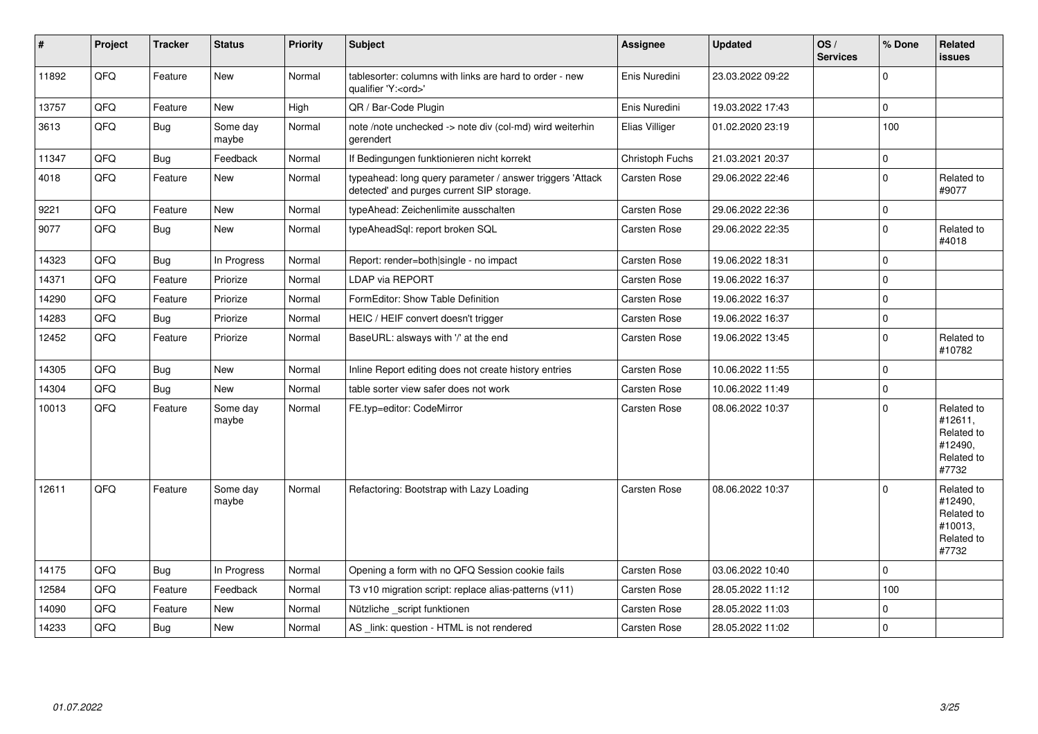| #     | Project | <b>Tracker</b> | <b>Status</b>     | <b>Priority</b> | <b>Subject</b>                                                                                         | <b>Assignee</b>     | <b>Updated</b>   | OS/<br><b>Services</b> | % Done         | <b>Related</b><br><b>issues</b>                                       |
|-------|---------|----------------|-------------------|-----------------|--------------------------------------------------------------------------------------------------------|---------------------|------------------|------------------------|----------------|-----------------------------------------------------------------------|
| 11892 | QFQ     | Feature        | New               | Normal          | tablesorter: columns with links are hard to order - new<br>qualifier 'Y: <ord>'</ord>                  | Enis Nuredini       | 23.03.2022 09:22 |                        | $\Omega$       |                                                                       |
| 13757 | QFQ     | Feature        | <b>New</b>        | High            | QR / Bar-Code Plugin                                                                                   | Enis Nuredini       | 19.03.2022 17:43 |                        | 0              |                                                                       |
| 3613  | QFQ     | Bug            | Some day<br>maybe | Normal          | note /note unchecked -> note div (col-md) wird weiterhin<br>gerendert                                  | Elias Villiger      | 01.02.2020 23:19 |                        | 100            |                                                                       |
| 11347 | QFQ     | <b>Bug</b>     | Feedback          | Normal          | If Bedingungen funktionieren nicht korrekt                                                             | Christoph Fuchs     | 21.03.2021 20:37 |                        | 0              |                                                                       |
| 4018  | QFQ     | Feature        | New               | Normal          | typeahead: long query parameter / answer triggers 'Attack<br>detected' and purges current SIP storage. | Carsten Rose        | 29.06.2022 22:46 |                        | $\Omega$       | Related to<br>#9077                                                   |
| 9221  | QFQ     | Feature        | <b>New</b>        | Normal          | typeAhead: Zeichenlimite ausschalten                                                                   | Carsten Rose        | 29.06.2022 22:36 |                        | $\pmb{0}$      |                                                                       |
| 9077  | QFQ     | <b>Bug</b>     | New               | Normal          | typeAheadSql: report broken SQL                                                                        | Carsten Rose        | 29.06.2022 22:35 |                        | 0              | Related to<br>#4018                                                   |
| 14323 | QFQ     | Bug            | In Progress       | Normal          | Report: render=both single - no impact                                                                 | Carsten Rose        | 19.06.2022 18:31 |                        | 0              |                                                                       |
| 14371 | QFQ     | Feature        | Priorize          | Normal          | <b>LDAP via REPORT</b>                                                                                 | Carsten Rose        | 19.06.2022 16:37 |                        | 0              |                                                                       |
| 14290 | QFQ     | Feature        | Priorize          | Normal          | FormEditor: Show Table Definition                                                                      | Carsten Rose        | 19.06.2022 16:37 |                        | $\Omega$       |                                                                       |
| 14283 | QFQ     | <b>Bug</b>     | Priorize          | Normal          | HEIC / HEIF convert doesn't trigger                                                                    | Carsten Rose        | 19.06.2022 16:37 |                        | $\overline{0}$ |                                                                       |
| 12452 | QFQ     | Feature        | Priorize          | Normal          | BaseURL: alsways with '/' at the end                                                                   | Carsten Rose        | 19.06.2022 13:45 |                        | $\Omega$       | Related to<br>#10782                                                  |
| 14305 | QFQ     | <b>Bug</b>     | <b>New</b>        | Normal          | Inline Report editing does not create history entries                                                  | Carsten Rose        | 10.06.2022 11:55 |                        | 0              |                                                                       |
| 14304 | QFQ     | Bug            | New               | Normal          | table sorter view safer does not work                                                                  | Carsten Rose        | 10.06.2022 11:49 |                        | 0              |                                                                       |
| 10013 | QFQ     | Feature        | Some day<br>maybe | Normal          | FE.typ=editor: CodeMirror                                                                              | Carsten Rose        | 08.06.2022 10:37 |                        | $\Omega$       | Related to<br>#12611,<br>Related to<br>#12490,<br>Related to<br>#7732 |
| 12611 | QFQ     | Feature        | Some day<br>maybe | Normal          | Refactoring: Bootstrap with Lazy Loading                                                               | Carsten Rose        | 08.06.2022 10:37 |                        | $\Omega$       | Related to<br>#12490,<br>Related to<br>#10013,<br>Related to<br>#7732 |
| 14175 | QFQ     | Bug            | In Progress       | Normal          | Opening a form with no QFQ Session cookie fails                                                        | Carsten Rose        | 03.06.2022 10:40 |                        | 0              |                                                                       |
| 12584 | QFQ     | Feature        | Feedback          | Normal          | T3 v10 migration script: replace alias-patterns (v11)                                                  | Carsten Rose        | 28.05.2022 11:12 |                        | 100            |                                                                       |
| 14090 | QFQ     | Feature        | New               | Normal          | Nützliche script funktionen                                                                            | Carsten Rose        | 28.05.2022 11:03 |                        | 0              |                                                                       |
| 14233 | QFQ     | Bug            | <b>New</b>        | Normal          | AS link: question - HTML is not rendered                                                               | <b>Carsten Rose</b> | 28.05.2022 11:02 |                        | 0              |                                                                       |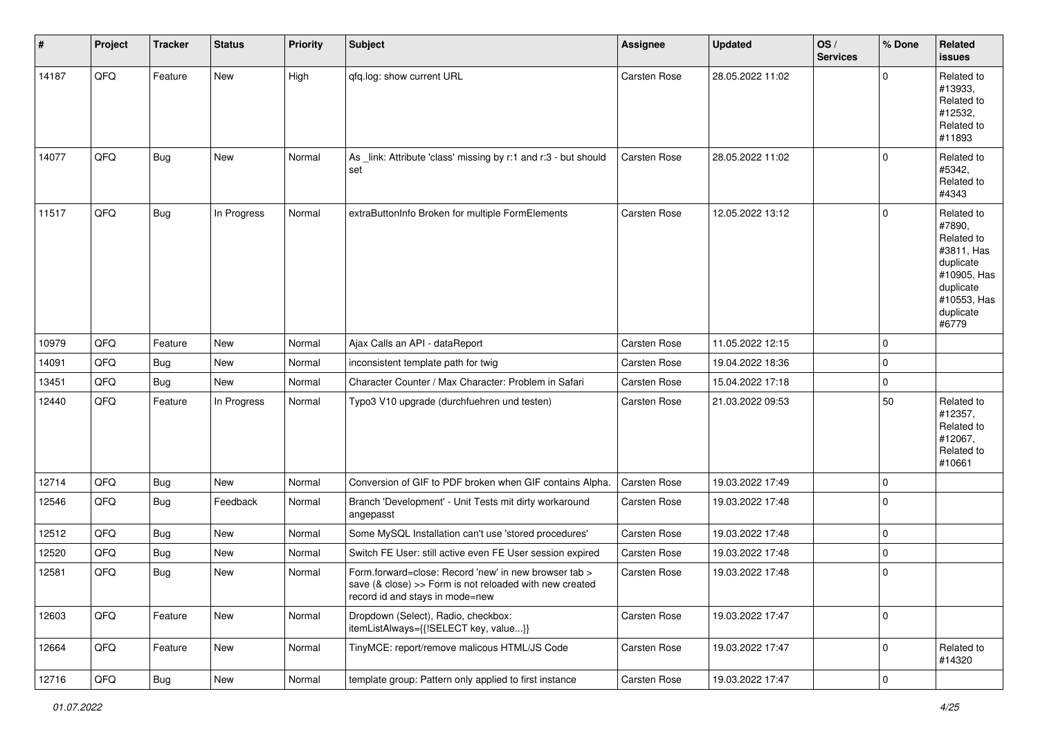| $\#$  | Project | <b>Tracker</b> | <b>Status</b> | <b>Priority</b> | <b>Subject</b>                                                                                                                                                | <b>Assignee</b>     | <b>Updated</b>   | OS/<br><b>Services</b> | % Done              | Related<br><b>issues</b>                                                                                                       |
|-------|---------|----------------|---------------|-----------------|---------------------------------------------------------------------------------------------------------------------------------------------------------------|---------------------|------------------|------------------------|---------------------|--------------------------------------------------------------------------------------------------------------------------------|
| 14187 | QFQ     | Feature        | New           | High            | qfq.log: show current URL                                                                                                                                     | Carsten Rose        | 28.05.2022 11:02 |                        | $\mathbf 0$         | Related to<br>#13933,<br>Related to<br>#12532,<br>Related to<br>#11893                                                         |
| 14077 | QFQ     | <b>Bug</b>     | New           | Normal          | As _link: Attribute 'class' missing by r:1 and r:3 - but should<br>set                                                                                        | <b>Carsten Rose</b> | 28.05.2022 11:02 |                        | $\mathbf 0$         | Related to<br>#5342,<br>Related to<br>#4343                                                                                    |
| 11517 | QFQ     | <b>Bug</b>     | In Progress   | Normal          | extraButtonInfo Broken for multiple FormElements                                                                                                              | <b>Carsten Rose</b> | 12.05.2022 13:12 |                        | $\mathbf 0$         | Related to<br>#7890,<br>Related to<br>#3811, Has<br>duplicate<br>#10905, Has<br>duplicate<br>#10553, Has<br>duplicate<br>#6779 |
| 10979 | QFQ     | Feature        | New           | Normal          | Ajax Calls an API - dataReport                                                                                                                                | <b>Carsten Rose</b> | 11.05.2022 12:15 |                        | 0                   |                                                                                                                                |
| 14091 | QFQ     | <b>Bug</b>     | New           | Normal          | inconsistent template path for twig                                                                                                                           | Carsten Rose        | 19.04.2022 18:36 |                        | $\mathbf 0$         |                                                                                                                                |
| 13451 | QFQ     | Bug            | New           | Normal          | Character Counter / Max Character: Problem in Safari                                                                                                          | <b>Carsten Rose</b> | 15.04.2022 17:18 |                        | $\Omega$            |                                                                                                                                |
| 12440 | QFQ     | Feature        | In Progress   | Normal          | Typo3 V10 upgrade (durchfuehren und testen)                                                                                                                   | Carsten Rose        | 21.03.2022 09:53 |                        | 50                  | Related to<br>#12357,<br>Related to<br>#12067,<br>Related to<br>#10661                                                         |
| 12714 | QFQ     | <b>Bug</b>     | New           | Normal          | Conversion of GIF to PDF broken when GIF contains Alpha.                                                                                                      | Carsten Rose        | 19.03.2022 17:49 |                        | $\mathbf 0$         |                                                                                                                                |
| 12546 | QFQ     | <b>Bug</b>     | Feedback      | Normal          | Branch 'Development' - Unit Tests mit dirty workaround<br>angepasst                                                                                           | <b>Carsten Rose</b> | 19.03.2022 17:48 |                        | $\mathbf 0$         |                                                                                                                                |
| 12512 | QFQ     | <b>Bug</b>     | New           | Normal          | Some MySQL Installation can't use 'stored procedures'                                                                                                         | <b>Carsten Rose</b> | 19.03.2022 17:48 |                        | $\Omega$            |                                                                                                                                |
| 12520 | QFQ     | <b>Bug</b>     | New           | Normal          | Switch FE User: still active even FE User session expired                                                                                                     | Carsten Rose        | 19.03.2022 17:48 |                        | 0                   |                                                                                                                                |
| 12581 | QFQ     | Bug            | New           | Normal          | Form.forward=close: Record 'new' in new browser tab ><br>save $(8 \text{ close}) >>$ Form is not reloaded with new created<br>record id and stays in mode=new | Carsten Rose        | 19.03.2022 17:48 |                        | $\mathbf 0$         |                                                                                                                                |
| 12603 | QFQ     | Feature        | New           | Normal          | Dropdown (Select), Radio, checkbox:<br>itemListAlways={{!SELECT key, value}}                                                                                  | Carsten Rose        | 19.03.2022 17:47 |                        | $\mathsf{O}\xspace$ |                                                                                                                                |
| 12664 | QFQ     | Feature        | New           | Normal          | TinyMCE: report/remove malicous HTML/JS Code                                                                                                                  | Carsten Rose        | 19.03.2022 17:47 |                        | $\mathbf{0}$        | Related to<br>#14320                                                                                                           |
| 12716 | QFQ     | <b>Bug</b>     | New           | Normal          | template group: Pattern only applied to first instance                                                                                                        | Carsten Rose        | 19.03.2022 17:47 |                        | $\pmb{0}$           |                                                                                                                                |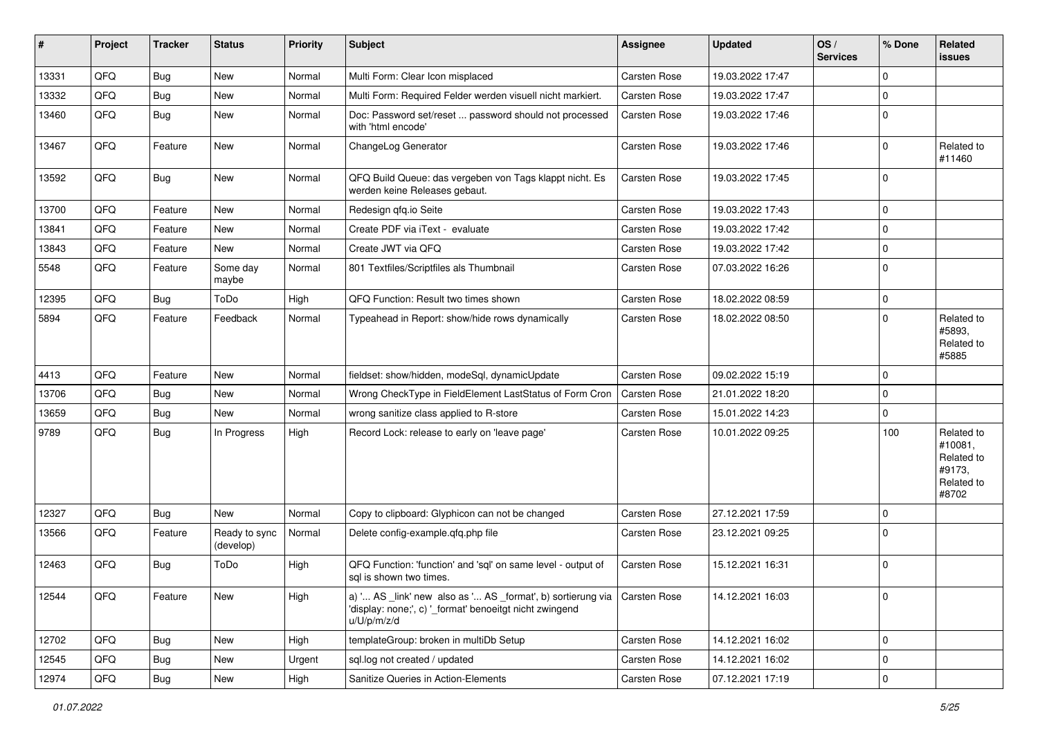| #     | Project | <b>Tracker</b> | <b>Status</b>              | <b>Priority</b> | <b>Subject</b>                                                                                                                                       | <b>Assignee</b>     | <b>Updated</b>   | OS/<br><b>Services</b> | % Done      | Related<br><b>issues</b>                                             |
|-------|---------|----------------|----------------------------|-----------------|------------------------------------------------------------------------------------------------------------------------------------------------------|---------------------|------------------|------------------------|-------------|----------------------------------------------------------------------|
| 13331 | QFQ     | Bug            | <b>New</b>                 | Normal          | Multi Form: Clear Icon misplaced                                                                                                                     | Carsten Rose        | 19.03.2022 17:47 |                        | $\Omega$    |                                                                      |
| 13332 | QFQ     | <b>Bug</b>     | New                        | Normal          | Multi Form: Required Felder werden visuell nicht markiert.                                                                                           | Carsten Rose        | 19.03.2022 17:47 |                        | $\mathbf 0$ |                                                                      |
| 13460 | QFQ     | <b>Bug</b>     | New                        | Normal          | Doc: Password set/reset  password should not processed<br>with 'html encode'                                                                         | Carsten Rose        | 19.03.2022 17:46 |                        | $\Omega$    |                                                                      |
| 13467 | QFQ     | Feature        | New                        | Normal          | ChangeLog Generator                                                                                                                                  | Carsten Rose        | 19.03.2022 17:46 |                        | $\Omega$    | Related to<br>#11460                                                 |
| 13592 | QFQ     | <b>Bug</b>     | New                        | Normal          | QFQ Build Queue: das vergeben von Tags klappt nicht. Es<br>werden keine Releases gebaut.                                                             | Carsten Rose        | 19.03.2022 17:45 |                        | $\Omega$    |                                                                      |
| 13700 | QFQ     | Feature        | <b>New</b>                 | Normal          | Redesign qfq.io Seite                                                                                                                                | Carsten Rose        | 19.03.2022 17:43 |                        | $\mathbf 0$ |                                                                      |
| 13841 | QFQ     | Feature        | New                        | Normal          | Create PDF via iText - evaluate                                                                                                                      | Carsten Rose        | 19.03.2022 17:42 |                        | $\mathbf 0$ |                                                                      |
| 13843 | QFQ     | Feature        | New                        | Normal          | Create JWT via QFQ                                                                                                                                   | Carsten Rose        | 19.03.2022 17:42 |                        | $\Omega$    |                                                                      |
| 5548  | QFQ     | Feature        | Some day<br>maybe          | Normal          | 801 Textfiles/Scriptfiles als Thumbnail                                                                                                              | Carsten Rose        | 07.03.2022 16:26 |                        | $\Omega$    |                                                                      |
| 12395 | QFQ     | <b>Bug</b>     | ToDo                       | High            | QFQ Function: Result two times shown                                                                                                                 | Carsten Rose        | 18.02.2022 08:59 |                        | $\mathbf 0$ |                                                                      |
| 5894  | QFQ     | Feature        | Feedback                   | Normal          | Typeahead in Report: show/hide rows dynamically                                                                                                      | Carsten Rose        | 18.02.2022 08:50 |                        | $\Omega$    | Related to<br>#5893,<br>Related to<br>#5885                          |
| 4413  | QFQ     | Feature        | <b>New</b>                 | Normal          | fieldset: show/hidden, modeSql, dynamicUpdate                                                                                                        | Carsten Rose        | 09.02.2022 15:19 |                        | $\Omega$    |                                                                      |
| 13706 | QFQ     | <b>Bug</b>     | New                        | Normal          | Wrong CheckType in FieldElement LastStatus of Form Cron                                                                                              | Carsten Rose        | 21.01.2022 18:20 |                        | $\Omega$    |                                                                      |
| 13659 | QFQ     | Bug            | New                        | Normal          | wrong sanitize class applied to R-store                                                                                                              | Carsten Rose        | 15.01.2022 14:23 |                        | $\mathbf 0$ |                                                                      |
| 9789  | QFQ     | <b>Bug</b>     | In Progress                | High            | Record Lock: release to early on 'leave page'                                                                                                        | Carsten Rose        | 10.01.2022 09:25 |                        | 100         | Related to<br>#10081,<br>Related to<br>#9173,<br>Related to<br>#8702 |
| 12327 | QFQ     | Bug            | New                        | Normal          | Copy to clipboard: Glyphicon can not be changed                                                                                                      | <b>Carsten Rose</b> | 27.12.2021 17:59 |                        | $\Omega$    |                                                                      |
| 13566 | QFQ     | Feature        | Ready to sync<br>(develop) | Normal          | Delete config-example.qfq.php file                                                                                                                   | Carsten Rose        | 23.12.2021 09:25 |                        | $\Omega$    |                                                                      |
| 12463 | QFQ     | <b>Bug</b>     | ToDo                       | High            | QFQ Function: 'function' and 'sql' on same level - output of<br>sql is shown two times.                                                              | Carsten Rose        | 15.12.2021 16:31 |                        | $\mathbf 0$ |                                                                      |
| 12544 | QFQ     | Feature        | New                        | High            | a) ' AS _link' new also as ' AS _format', b) sortierung via   Carsten Rose<br>'display: none;', c) ' format' benoeitgt nicht zwingend<br>u/U/p/m/z/d |                     | 14.12.2021 16:03 |                        | $\mathbf 0$ |                                                                      |
| 12702 | QFQ     | <b>Bug</b>     | New                        | High            | templateGroup: broken in multiDb Setup                                                                                                               | Carsten Rose        | 14.12.2021 16:02 |                        | $\mathbf 0$ |                                                                      |
| 12545 | QFQ     | Bug            | New                        | Urgent          | sql.log not created / updated                                                                                                                        | Carsten Rose        | 14.12.2021 16:02 |                        | 0           |                                                                      |
| 12974 | QFQ     | Bug            | New                        | High            | Sanitize Queries in Action-Elements                                                                                                                  | Carsten Rose        | 07.12.2021 17:19 |                        | $\mathbf 0$ |                                                                      |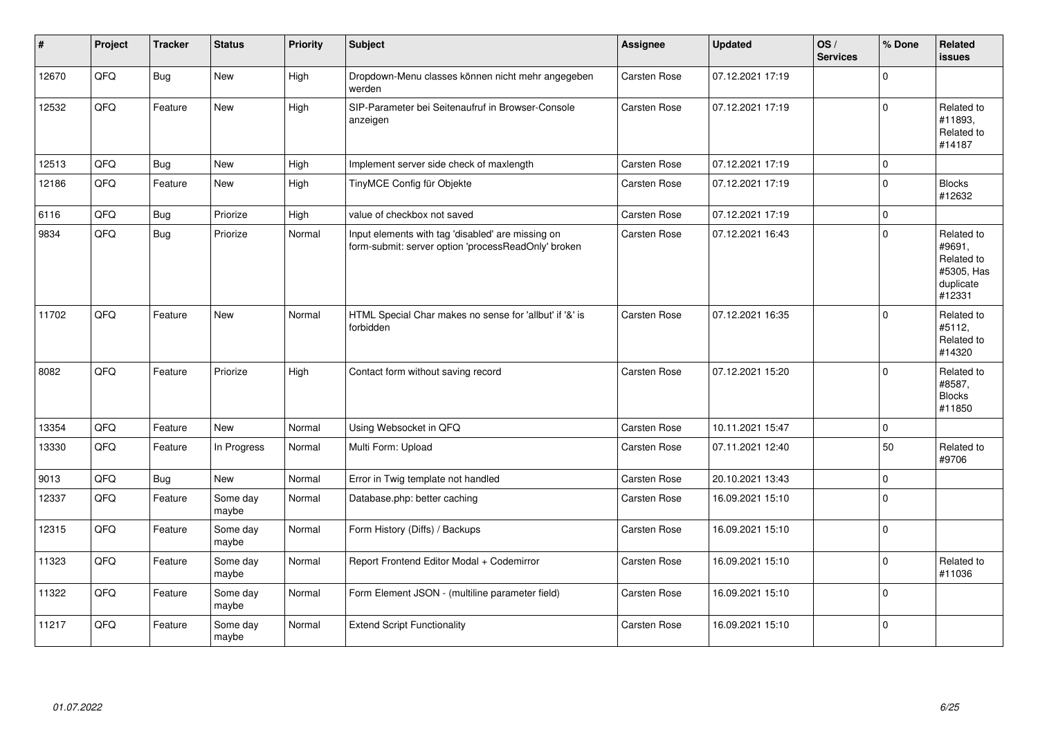| $\vert$ # | Project | <b>Tracker</b> | <b>Status</b>     | <b>Priority</b> | <b>Subject</b>                                                                                           | Assignee            | <b>Updated</b>   | OS/<br><b>Services</b> | % Done      | Related<br><b>issues</b>                                                |
|-----------|---------|----------------|-------------------|-----------------|----------------------------------------------------------------------------------------------------------|---------------------|------------------|------------------------|-------------|-------------------------------------------------------------------------|
| 12670     | QFQ     | Bug            | <b>New</b>        | High            | Dropdown-Menu classes können nicht mehr angegeben<br>werden                                              | <b>Carsten Rose</b> | 07.12.2021 17:19 |                        | 0           |                                                                         |
| 12532     | QFQ     | Feature        | <b>New</b>        | High            | SIP-Parameter bei Seitenaufruf in Browser-Console<br>anzeigen                                            | Carsten Rose        | 07.12.2021 17:19 |                        | 0           | Related to<br>#11893,<br>Related to<br>#14187                           |
| 12513     | QFQ     | Bug            | <b>New</b>        | High            | Implement server side check of maxlength                                                                 | Carsten Rose        | 07.12.2021 17:19 |                        | $\pmb{0}$   |                                                                         |
| 12186     | QFQ     | Feature        | New               | High            | TinyMCE Config für Objekte                                                                               | Carsten Rose        | 07.12.2021 17:19 |                        | 0           | <b>Blocks</b><br>#12632                                                 |
| 6116      | QFQ     | Bug            | Priorize          | High            | value of checkbox not saved                                                                              | Carsten Rose        | 07.12.2021 17:19 |                        | 0           |                                                                         |
| 9834      | QFQ     | Bug            | Priorize          | Normal          | Input elements with tag 'disabled' are missing on<br>form-submit: server option 'processReadOnly' broken | Carsten Rose        | 07.12.2021 16:43 |                        | 0           | Related to<br>#9691,<br>Related to<br>#5305, Has<br>duplicate<br>#12331 |
| 11702     | QFQ     | Feature        | <b>New</b>        | Normal          | HTML Special Char makes no sense for 'allbut' if '&' is<br>forbidden                                     | Carsten Rose        | 07.12.2021 16:35 |                        | $\mathbf 0$ | Related to<br>#5112,<br>Related to<br>#14320                            |
| 8082      | QFQ     | Feature        | Priorize          | High            | Contact form without saving record                                                                       | Carsten Rose        | 07.12.2021 15:20 |                        | $\Omega$    | Related to<br>#8587,<br><b>Blocks</b><br>#11850                         |
| 13354     | QFQ     | Feature        | <b>New</b>        | Normal          | Using Websocket in QFQ                                                                                   | Carsten Rose        | 10.11.2021 15:47 |                        | 0           |                                                                         |
| 13330     | QFQ     | Feature        | In Progress       | Normal          | Multi Form: Upload                                                                                       | Carsten Rose        | 07.11.2021 12:40 |                        | 50          | Related to<br>#9706                                                     |
| 9013      | QFQ     | <b>Bug</b>     | New               | Normal          | Error in Twig template not handled                                                                       | Carsten Rose        | 20.10.2021 13:43 |                        | 0           |                                                                         |
| 12337     | QFQ     | Feature        | Some day<br>maybe | Normal          | Database.php: better caching                                                                             | Carsten Rose        | 16.09.2021 15:10 |                        | 0           |                                                                         |
| 12315     | QFQ     | Feature        | Some day<br>maybe | Normal          | Form History (Diffs) / Backups                                                                           | Carsten Rose        | 16.09.2021 15:10 |                        | 0           |                                                                         |
| 11323     | QFQ     | Feature        | Some day<br>maybe | Normal          | Report Frontend Editor Modal + Codemirror                                                                | Carsten Rose        | 16.09.2021 15:10 |                        | 0           | Related to<br>#11036                                                    |
| 11322     | QFQ     | Feature        | Some day<br>maybe | Normal          | Form Element JSON - (multiline parameter field)                                                          | Carsten Rose        | 16.09.2021 15:10 |                        | 0           |                                                                         |
| 11217     | QFQ     | Feature        | Some day<br>maybe | Normal          | <b>Extend Script Functionality</b>                                                                       | Carsten Rose        | 16.09.2021 15:10 |                        | 0           |                                                                         |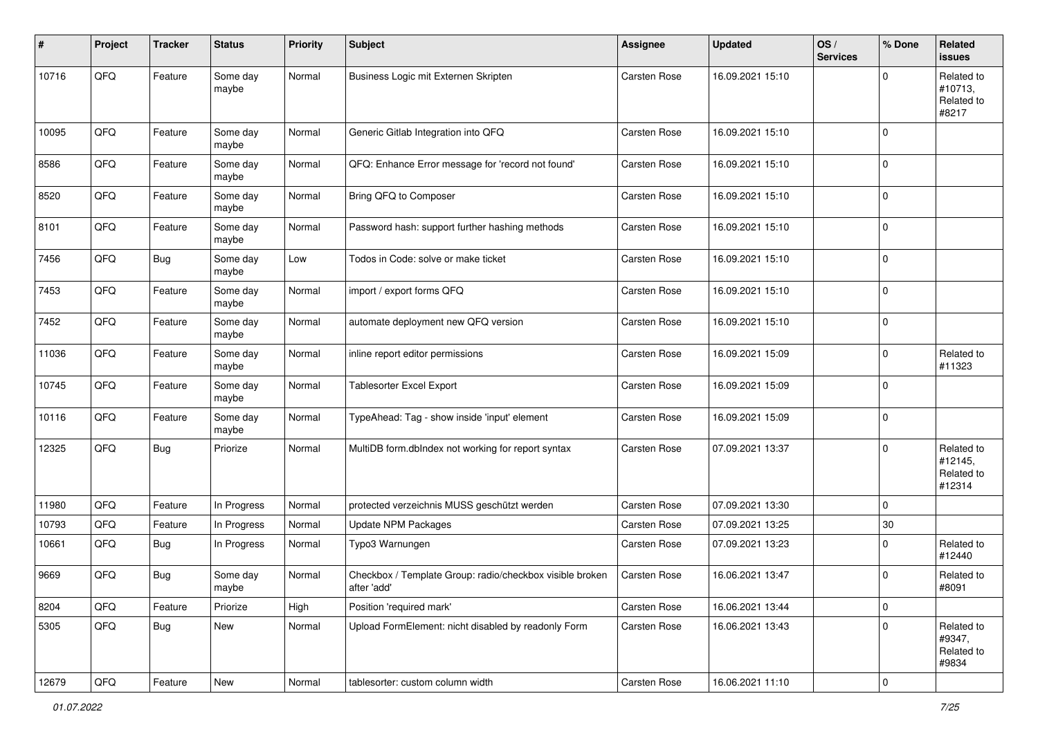| #     | Project        | <b>Tracker</b> | <b>Status</b>     | <b>Priority</b> | Subject                                                                 | <b>Assignee</b>     | <b>Updated</b>   | OS/<br><b>Services</b> | % Done         | Related<br>issues                             |
|-------|----------------|----------------|-------------------|-----------------|-------------------------------------------------------------------------|---------------------|------------------|------------------------|----------------|-----------------------------------------------|
| 10716 | QFQ            | Feature        | Some day<br>maybe | Normal          | Business Logic mit Externen Skripten                                    | <b>Carsten Rose</b> | 16.09.2021 15:10 |                        | 0              | Related to<br>#10713,<br>Related to<br>#8217  |
| 10095 | QFQ            | Feature        | Some day<br>maybe | Normal          | Generic Gitlab Integration into QFQ                                     | <b>Carsten Rose</b> | 16.09.2021 15:10 |                        | $\mathbf 0$    |                                               |
| 8586  | QFQ            | Feature        | Some day<br>maybe | Normal          | QFQ: Enhance Error message for 'record not found'                       | <b>Carsten Rose</b> | 16.09.2021 15:10 |                        | $\mathbf 0$    |                                               |
| 8520  | QFQ            | Feature        | Some day<br>maybe | Normal          | Bring QFQ to Composer                                                   | <b>Carsten Rose</b> | 16.09.2021 15:10 |                        | $\mathbf 0$    |                                               |
| 8101  | QFQ            | Feature        | Some day<br>maybe | Normal          | Password hash: support further hashing methods                          | Carsten Rose        | 16.09.2021 15:10 |                        | 0              |                                               |
| 7456  | QFQ            | <b>Bug</b>     | Some day<br>maybe | Low             | Todos in Code: solve or make ticket                                     | Carsten Rose        | 16.09.2021 15:10 |                        | $\mathbf 0$    |                                               |
| 7453  | QFQ            | Feature        | Some day<br>maybe | Normal          | import / export forms QFQ                                               | Carsten Rose        | 16.09.2021 15:10 |                        | $\mathbf 0$    |                                               |
| 7452  | QFQ            | Feature        | Some day<br>maybe | Normal          | automate deployment new QFQ version                                     | Carsten Rose        | 16.09.2021 15:10 |                        | $\pmb{0}$      |                                               |
| 11036 | QFQ            | Feature        | Some day<br>maybe | Normal          | inline report editor permissions                                        | <b>Carsten Rose</b> | 16.09.2021 15:09 |                        | 0              | Related to<br>#11323                          |
| 10745 | QFQ            | Feature        | Some day<br>maybe | Normal          | Tablesorter Excel Export                                                | <b>Carsten Rose</b> | 16.09.2021 15:09 |                        | $\mathbf 0$    |                                               |
| 10116 | QFQ            | Feature        | Some day<br>maybe | Normal          | TypeAhead: Tag - show inside 'input' element                            | Carsten Rose        | 16.09.2021 15:09 |                        | $\mathbf 0$    |                                               |
| 12325 | QFQ            | <b>Bug</b>     | Priorize          | Normal          | MultiDB form.dblndex not working for report syntax                      | Carsten Rose        | 07.09.2021 13:37 |                        | 0              | Related to<br>#12145,<br>Related to<br>#12314 |
| 11980 | QFQ            | Feature        | In Progress       | Normal          | protected verzeichnis MUSS geschützt werden                             | <b>Carsten Rose</b> | 07.09.2021 13:30 |                        | $\mathbf 0$    |                                               |
| 10793 | QFQ            | Feature        | In Progress       | Normal          | <b>Update NPM Packages</b>                                              | <b>Carsten Rose</b> | 07.09.2021 13:25 |                        | $30\,$         |                                               |
| 10661 | QFQ            | <b>Bug</b>     | In Progress       | Normal          | Typo3 Warnungen                                                         | <b>Carsten Rose</b> | 07.09.2021 13:23 |                        | $\pmb{0}$      | Related to<br>#12440                          |
| 9669  | QFQ            | <b>Bug</b>     | Some day<br>maybe | Normal          | Checkbox / Template Group: radio/checkbox visible broken<br>after 'add' | Carsten Rose        | 16.06.2021 13:47 |                        | $\mathbf 0$    | Related to<br>#8091                           |
| 8204  | QFQ            | Feature        | Priorize          | High            | Position 'required mark'                                                | Carsten Rose        | 16.06.2021 13:44 |                        | $\pmb{0}$      |                                               |
| 5305  | QFQ            | <b>Bug</b>     | New               | Normal          | Upload FormElement: nicht disabled by readonly Form                     | Carsten Rose        | 16.06.2021 13:43 |                        | $\pmb{0}$      | Related to<br>#9347,<br>Related to<br>#9834   |
| 12679 | $\mathsf{QFQ}$ | Feature        | New               | Normal          | tablesorter: custom column width                                        | Carsten Rose        | 16.06.2021 11:10 |                        | $\overline{0}$ |                                               |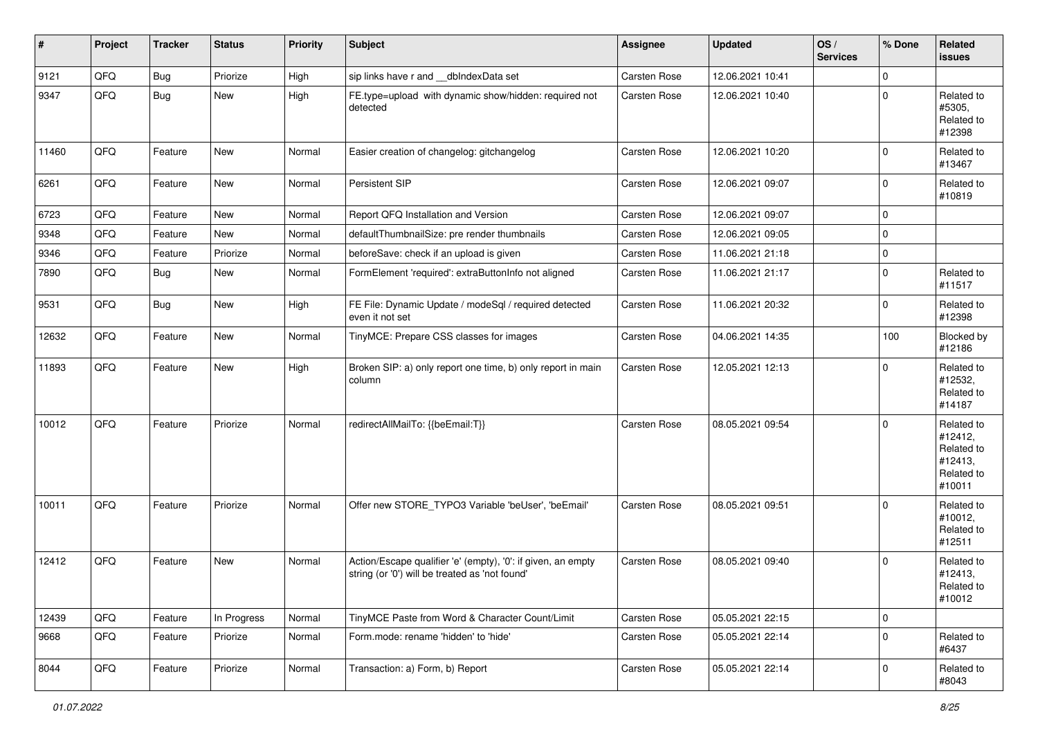| $\#$  | Project | <b>Tracker</b> | <b>Status</b> | <b>Priority</b> | <b>Subject</b>                                                                                                 | Assignee            | <b>Updated</b>   | OS/<br><b>Services</b> | % Done         | Related<br>issues                                                      |
|-------|---------|----------------|---------------|-----------------|----------------------------------------------------------------------------------------------------------------|---------------------|------------------|------------------------|----------------|------------------------------------------------------------------------|
| 9121  | QFQ     | <b>Bug</b>     | Priorize      | High            | sip links have r and __dbIndexData set                                                                         | <b>Carsten Rose</b> | 12.06.2021 10:41 |                        | $\mathbf 0$    |                                                                        |
| 9347  | QFQ     | <b>Bug</b>     | New           | High            | FE.type=upload with dynamic show/hidden: required not<br>detected                                              | <b>Carsten Rose</b> | 12.06.2021 10:40 |                        | $\mathbf 0$    | Related to<br>#5305,<br>Related to<br>#12398                           |
| 11460 | QFQ     | Feature        | New           | Normal          | Easier creation of changelog: gitchangelog                                                                     | Carsten Rose        | 12.06.2021 10:20 |                        | $\mathbf 0$    | Related to<br>#13467                                                   |
| 6261  | QFQ     | Feature        | New           | Normal          | Persistent SIP                                                                                                 | Carsten Rose        | 12.06.2021 09:07 |                        | $\mathbf 0$    | Related to<br>#10819                                                   |
| 6723  | QFQ     | Feature        | New           | Normal          | Report QFQ Installation and Version                                                                            | Carsten Rose        | 12.06.2021 09:07 |                        | 0              |                                                                        |
| 9348  | QFQ     | Feature        | New           | Normal          | defaultThumbnailSize: pre render thumbnails                                                                    | <b>Carsten Rose</b> | 12.06.2021 09:05 |                        | $\mathbf 0$    |                                                                        |
| 9346  | QFQ     | Feature        | Priorize      | Normal          | beforeSave: check if an upload is given                                                                        | <b>Carsten Rose</b> | 11.06.2021 21:18 |                        | $\pmb{0}$      |                                                                        |
| 7890  | QFQ     | Bug            | New           | Normal          | FormElement 'required': extraButtonInfo not aligned                                                            | Carsten Rose        | 11.06.2021 21:17 |                        | $\pmb{0}$      | Related to<br>#11517                                                   |
| 9531  | QFQ     | <b>Bug</b>     | New           | High            | FE File: Dynamic Update / modeSql / required detected<br>even it not set                                       | Carsten Rose        | 11.06.2021 20:32 |                        | $\mathbf 0$    | Related to<br>#12398                                                   |
| 12632 | QFQ     | Feature        | New           | Normal          | TinyMCE: Prepare CSS classes for images                                                                        | Carsten Rose        | 04.06.2021 14:35 |                        | 100            | Blocked by<br>#12186                                                   |
| 11893 | QFQ     | Feature        | New           | High            | Broken SIP: a) only report one time, b) only report in main<br>column                                          | Carsten Rose        | 12.05.2021 12:13 |                        | $\Omega$       | Related to<br>#12532,<br>Related to<br>#14187                          |
| 10012 | QFQ     | Feature        | Priorize      | Normal          | redirectAllMailTo: {{beEmail:T}}                                                                               | <b>Carsten Rose</b> | 08.05.2021 09:54 |                        | $\mathbf 0$    | Related to<br>#12412,<br>Related to<br>#12413,<br>Related to<br>#10011 |
| 10011 | QFQ     | Feature        | Priorize      | Normal          | Offer new STORE_TYPO3 Variable 'beUser', 'beEmail'                                                             | <b>Carsten Rose</b> | 08.05.2021 09:51 |                        | $\mathbf 0$    | Related to<br>#10012,<br>Related to<br>#12511                          |
| 12412 | QFQ     | Feature        | New           | Normal          | Action/Escape qualifier 'e' (empty), '0': if given, an empty<br>string (or '0') will be treated as 'not found' | <b>Carsten Rose</b> | 08.05.2021 09:40 |                        | $\mathbf 0$    | Related to<br>#12413,<br>Related to<br>#10012                          |
| 12439 | QFQ     | Feature        | In Progress   | Normal          | TinyMCE Paste from Word & Character Count/Limit                                                                | Carsten Rose        | 05.05.2021 22:15 |                        | $\mathbf 0$    |                                                                        |
| 9668  | QFQ     | Feature        | Priorize      | Normal          | Form.mode: rename 'hidden' to 'hide'                                                                           | Carsten Rose        | 05.05.2021 22:14 |                        | $\overline{0}$ | Related to<br>#6437                                                    |
| 8044  | QFQ     | Feature        | Priorize      | Normal          | Transaction: a) Form, b) Report                                                                                | Carsten Rose        | 05.05.2021 22:14 |                        | $\overline{0}$ | Related to<br>#8043                                                    |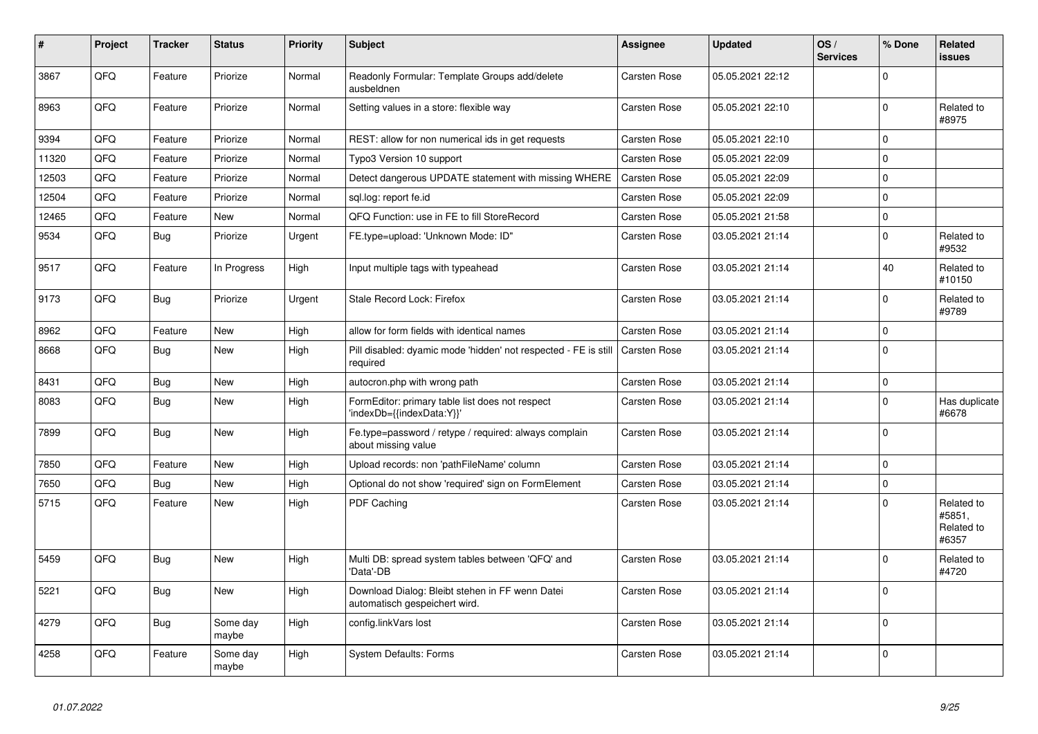| $\sharp$ | Project | <b>Tracker</b> | <b>Status</b>     | <b>Priority</b> | <b>Subject</b>                                                                             | <b>Assignee</b>     | <b>Updated</b>   | OS/<br><b>Services</b> | % Done      | Related<br>issues                           |
|----------|---------|----------------|-------------------|-----------------|--------------------------------------------------------------------------------------------|---------------------|------------------|------------------------|-------------|---------------------------------------------|
| 3867     | QFQ     | Feature        | Priorize          | Normal          | Readonly Formular: Template Groups add/delete<br>ausbeldnen                                | Carsten Rose        | 05.05.2021 22:12 |                        | $\Omega$    |                                             |
| 8963     | QFQ     | Feature        | Priorize          | Normal          | Setting values in a store: flexible way                                                    | Carsten Rose        | 05.05.2021 22:10 |                        | $\Omega$    | Related to<br>#8975                         |
| 9394     | QFQ     | Feature        | Priorize          | Normal          | REST: allow for non numerical ids in get requests                                          | Carsten Rose        | 05.05.2021 22:10 |                        | $\Omega$    |                                             |
| 11320    | QFQ     | Feature        | Priorize          | Normal          | Typo3 Version 10 support                                                                   | <b>Carsten Rose</b> | 05.05.2021 22:09 |                        | $\mathbf 0$ |                                             |
| 12503    | QFQ     | Feature        | Priorize          | Normal          | Detect dangerous UPDATE statement with missing WHERE                                       | <b>Carsten Rose</b> | 05.05.2021 22:09 |                        | $\Omega$    |                                             |
| 12504    | QFQ     | Feature        | Priorize          | Normal          | sql.log: report fe.id                                                                      | Carsten Rose        | 05.05.2021 22:09 |                        | $\Omega$    |                                             |
| 12465    | QFQ     | Feature        | <b>New</b>        | Normal          | QFQ Function: use in FE to fill StoreRecord                                                | Carsten Rose        | 05.05.2021 21:58 |                        | $\mathbf 0$ |                                             |
| 9534     | QFQ     | <b>Bug</b>     | Priorize          | Urgent          | FE.type=upload: 'Unknown Mode: ID"                                                         | Carsten Rose        | 03.05.2021 21:14 |                        | $\mathbf 0$ | Related to<br>#9532                         |
| 9517     | QFQ     | Feature        | In Progress       | High            | Input multiple tags with typeahead                                                         | Carsten Rose        | 03.05.2021 21:14 |                        | 40          | Related to<br>#10150                        |
| 9173     | QFQ     | Bug            | Priorize          | Urgent          | Stale Record Lock: Firefox                                                                 | Carsten Rose        | 03.05.2021 21:14 |                        | $\Omega$    | Related to<br>#9789                         |
| 8962     | QFQ     | Feature        | <b>New</b>        | High            | allow for form fields with identical names                                                 | <b>Carsten Rose</b> | 03.05.2021 21:14 |                        | $\Omega$    |                                             |
| 8668     | QFQ     | Bug            | <b>New</b>        | High            | Pill disabled: dyamic mode 'hidden' not respected - FE is still   Carsten Rose<br>required |                     | 03.05.2021 21:14 |                        | $\Omega$    |                                             |
| 8431     | QFQ     | <b>Bug</b>     | <b>New</b>        | High            | autocron.php with wrong path                                                               | <b>Carsten Rose</b> | 03.05.2021 21:14 |                        | $\mathbf 0$ |                                             |
| 8083     | QFQ     | Bug            | <b>New</b>        | High            | FormEditor: primary table list does not respect<br>'indexDb={{indexData:Y}}'               | Carsten Rose        | 03.05.2021 21:14 |                        | $\Omega$    | Has duplicate<br>#6678                      |
| 7899     | QFQ     | <b>Bug</b>     | <b>New</b>        | High            | Fe.type=password / retype / required: always complain<br>about missing value               | Carsten Rose        | 03.05.2021 21:14 |                        | $\Omega$    |                                             |
| 7850     | QFQ     | Feature        | New               | High            | Upload records: non 'pathFileName' column                                                  | Carsten Rose        | 03.05.2021 21:14 |                        | $\Omega$    |                                             |
| 7650     | QFQ     | <b>Bug</b>     | <b>New</b>        | High            | Optional do not show 'required' sign on FormElement                                        | Carsten Rose        | 03.05.2021 21:14 |                        | $\mathbf 0$ |                                             |
| 5715     | QFQ     | Feature        | <b>New</b>        | High            | PDF Caching                                                                                | Carsten Rose        | 03.05.2021 21:14 |                        | $\Omega$    | Related to<br>#5851,<br>Related to<br>#6357 |
| 5459     | QFQ     | Bug            | <b>New</b>        | High            | Multi DB: spread system tables between 'QFQ' and<br>'Data'-DB                              | <b>Carsten Rose</b> | 03.05.2021 21:14 |                        | $\Omega$    | Related to<br>#4720                         |
| 5221     | QFQ     | <b>Bug</b>     | <b>New</b>        | High            | Download Dialog: Bleibt stehen in FF wenn Datei<br>automatisch gespeichert wird.           | Carsten Rose        | 03.05.2021 21:14 |                        | $\Omega$    |                                             |
| 4279     | QFQ     | Bug            | Some day<br>maybe | High            | config.linkVars lost                                                                       | Carsten Rose        | 03.05.2021 21:14 |                        | $\Omega$    |                                             |
| 4258     | QFQ     | Feature        | Some day<br>maybe | High            | System Defaults: Forms                                                                     | Carsten Rose        | 03.05.2021 21:14 |                        | $\Omega$    |                                             |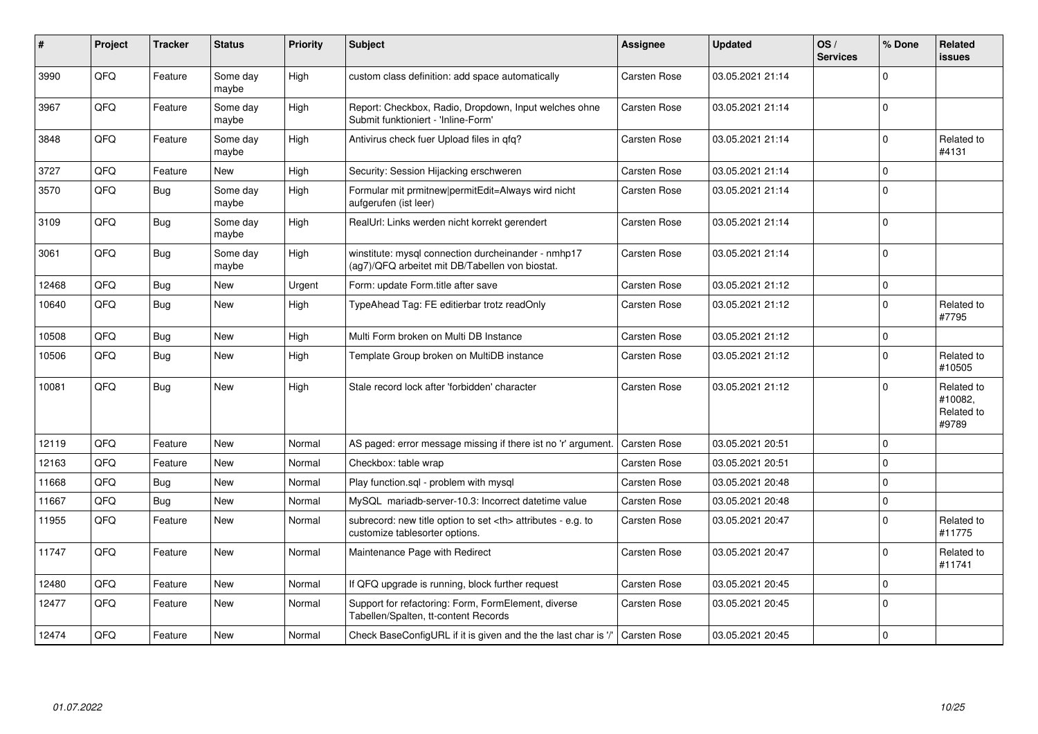| ∦     | Project | <b>Tracker</b> | <b>Status</b>     | <b>Priority</b> | <b>Subject</b>                                                                                         | Assignee                                               | <b>Updated</b>   | OS/<br><b>Services</b> | % Done      | Related<br><b>issues</b>                     |                      |
|-------|---------|----------------|-------------------|-----------------|--------------------------------------------------------------------------------------------------------|--------------------------------------------------------|------------------|------------------------|-------------|----------------------------------------------|----------------------|
| 3990  | QFQ     | Feature        | Some day<br>maybe | High            | custom class definition: add space automatically                                                       | Carsten Rose                                           | 03.05.2021 21:14 |                        | $\Omega$    |                                              |                      |
| 3967  | QFQ     | Feature        | Some day<br>maybe | High            | Report: Checkbox, Radio, Dropdown, Input welches ohne<br>Submit funktioniert - 'Inline-Form'           | Carsten Rose                                           | 03.05.2021 21:14 |                        | $\mathbf 0$ |                                              |                      |
| 3848  | QFQ     | Feature        | Some day<br>maybe | High            | Antivirus check fuer Upload files in qfq?                                                              | Carsten Rose                                           | 03.05.2021 21:14 |                        | $\mathbf 0$ | Related to<br>#4131                          |                      |
| 3727  | QFQ     | Feature        | New               | High            | Security: Session Hijacking erschweren                                                                 | Carsten Rose                                           | 03.05.2021 21:14 |                        | $\mathbf 0$ |                                              |                      |
| 3570  | QFQ     | <b>Bug</b>     | Some day<br>maybe | High            | Formular mit prmitnew permitEdit=Always wird nicht<br>aufgerufen (ist leer)                            | Carsten Rose                                           | 03.05.2021 21:14 |                        | $\mathbf 0$ |                                              |                      |
| 3109  | QFQ     | Bug            | Some day<br>maybe | High            | RealUrl: Links werden nicht korrekt gerendert                                                          | Carsten Rose                                           | 03.05.2021 21:14 |                        | $\mathbf 0$ |                                              |                      |
| 3061  | QFQ     | Bug            | Some day<br>maybe | High            | winstitute: mysql connection durcheinander - nmhp17<br>(ag7)/QFQ arbeitet mit DB/Tabellen von biostat. | Carsten Rose                                           | 03.05.2021 21:14 |                        | $\mathbf 0$ |                                              |                      |
| 12468 | QFQ     | Bug            | <b>New</b>        | Urgent          | Form: update Form.title after save                                                                     | Carsten Rose                                           | 03.05.2021 21:12 |                        | $\mathbf 0$ |                                              |                      |
| 10640 | QFQ     | Bug            | New               | High            | TypeAhead Tag: FE editierbar trotz readOnly                                                            | Carsten Rose                                           | 03.05.2021 21:12 |                        | $\mathbf 0$ | Related to<br>#7795                          |                      |
| 10508 | QFQ     | <b>Bug</b>     | <b>New</b>        | High            | Multi Form broken on Multi DB Instance                                                                 | Carsten Rose                                           | 03.05.2021 21:12 |                        | $\pmb{0}$   |                                              |                      |
| 10506 | QFQ     | <b>Bug</b>     | New               | High            | Template Group broken on MultiDB instance                                                              | Carsten Rose                                           | 03.05.2021 21:12 |                        | $\mathbf 0$ | Related to<br>#10505                         |                      |
| 10081 | QFQ     | Bug            | <b>New</b>        | High            | Stale record lock after 'forbidden' character                                                          | Carsten Rose                                           | 03.05.2021 21:12 |                        | $\mathbf 0$ | Related to<br>#10082,<br>Related to<br>#9789 |                      |
| 12119 | QFQ     | Feature        | <b>New</b>        | Normal          | AS paged: error message missing if there ist no 'r' argument.                                          | Carsten Rose                                           | 03.05.2021 20:51 |                        | $\mathbf 0$ |                                              |                      |
| 12163 | QFQ     | Feature        | <b>New</b>        | Normal          | Checkbox: table wrap                                                                                   | Carsten Rose                                           | 03.05.2021 20:51 |                        | $\pmb{0}$   |                                              |                      |
| 11668 | QFQ     | <b>Bug</b>     | <b>New</b>        | Normal          | Play function.sql - problem with mysql                                                                 | Carsten Rose                                           | 03.05.2021 20:48 |                        | $\pmb{0}$   |                                              |                      |
| 11667 | QFQ     | Bug            | New               | Normal          | MySQL mariadb-server-10.3: Incorrect datetime value                                                    | Carsten Rose                                           | 03.05.2021 20:48 |                        | $\pmb{0}$   |                                              |                      |
| 11955 | QFQ     | Feature        | <b>New</b>        | Normal          | subrecord: new title option to set <th> attributes - e.g. to<br/>customize tablesorter options.</th>   | attributes - e.g. to<br>customize tablesorter options. | Carsten Rose     | 03.05.2021 20:47       |             | $\mathbf 0$                                  | Related to<br>#11775 |
| 11747 | QFQ     | Feature        | New               | Normal          | Maintenance Page with Redirect                                                                         | Carsten Rose                                           | 03.05.2021 20:47 |                        | $\mathbf 0$ | Related to<br>#11741                         |                      |
| 12480 | QFQ     | Feature        | <b>New</b>        | Normal          | If QFQ upgrade is running, block further request                                                       | Carsten Rose                                           | 03.05.2021 20:45 |                        | $\mathbf 0$ |                                              |                      |
| 12477 | QFQ     | Feature        | New               | Normal          | Support for refactoring: Form, FormElement, diverse<br>Tabellen/Spalten, tt-content Records            | Carsten Rose                                           | 03.05.2021 20:45 |                        | $\mathbf 0$ |                                              |                      |
| 12474 | QFQ     | Feature        | <b>New</b>        | Normal          | Check BaseConfigURL if it is given and the the last char is '/'                                        | Carsten Rose                                           | 03.05.2021 20:45 |                        | $\mathbf 0$ |                                              |                      |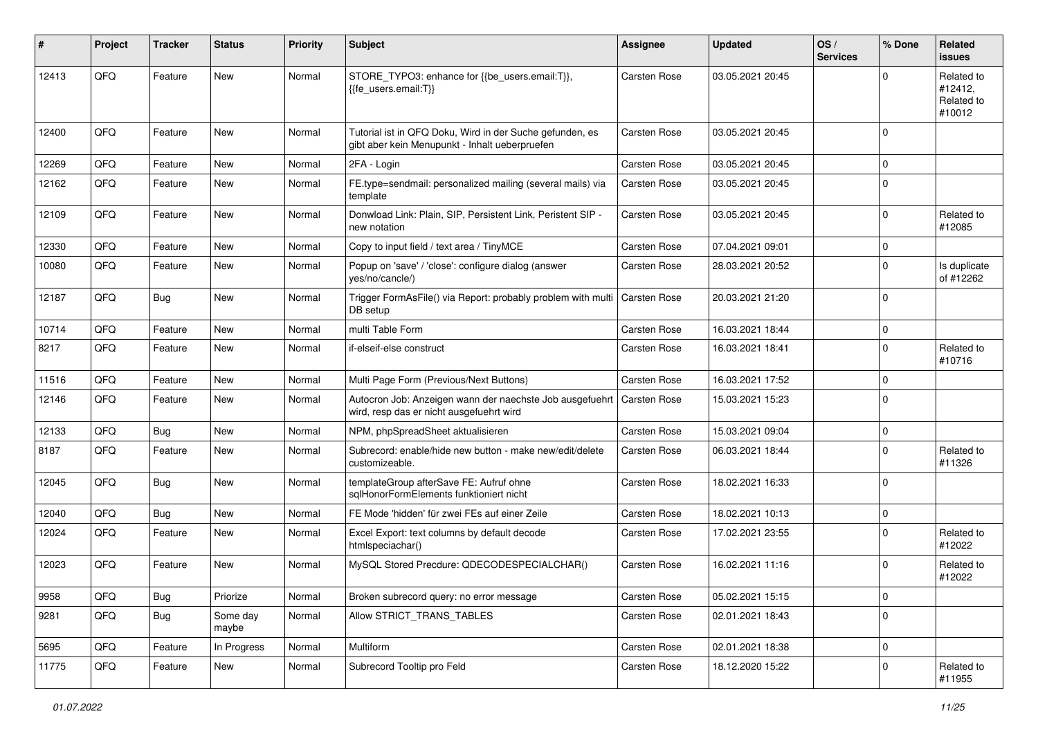| #     | Project | <b>Tracker</b> | <b>Status</b>     | <b>Priority</b> | <b>Subject</b>                                                                                             | <b>Assignee</b>     | <b>Updated</b>   | OS/<br><b>Services</b> | % Done      | <b>Related</b><br>issues                      |
|-------|---------|----------------|-------------------|-----------------|------------------------------------------------------------------------------------------------------------|---------------------|------------------|------------------------|-------------|-----------------------------------------------|
| 12413 | QFQ     | Feature        | New               | Normal          | STORE_TYPO3: enhance for {{be_users.email:T}},<br>{{fe users.email:T}}                                     | Carsten Rose        | 03.05.2021 20:45 |                        | $\Omega$    | Related to<br>#12412,<br>Related to<br>#10012 |
| 12400 | QFQ     | Feature        | <b>New</b>        | Normal          | Tutorial ist in QFQ Doku, Wird in der Suche gefunden, es<br>gibt aber kein Menupunkt - Inhalt ueberpruefen | <b>Carsten Rose</b> | 03.05.2021 20:45 |                        | $\mathbf 0$ |                                               |
| 12269 | QFQ     | Feature        | <b>New</b>        | Normal          | 2FA - Login                                                                                                | <b>Carsten Rose</b> | 03.05.2021 20:45 |                        | $\mathbf 0$ |                                               |
| 12162 | QFQ     | Feature        | New               | Normal          | FE.type=sendmail: personalized mailing (several mails) via<br>template                                     | <b>Carsten Rose</b> | 03.05.2021 20:45 |                        | $\mathbf 0$ |                                               |
| 12109 | QFQ     | Feature        | New               | Normal          | Donwload Link: Plain, SIP, Persistent Link, Peristent SIP -<br>new notation                                | Carsten Rose        | 03.05.2021 20:45 |                        | $\mathbf 0$ | Related to<br>#12085                          |
| 12330 | QFQ     | Feature        | <b>New</b>        | Normal          | Copy to input field / text area / TinyMCE                                                                  | Carsten Rose        | 07.04.2021 09:01 |                        | $\mathbf 0$ |                                               |
| 10080 | QFQ     | Feature        | New               | Normal          | Popup on 'save' / 'close': configure dialog (answer<br>yes/no/cancle/)                                     | Carsten Rose        | 28.03.2021 20:52 |                        | $\mathbf 0$ | Is duplicate<br>of #12262                     |
| 12187 | QFQ     | Bug            | New               | Normal          | Trigger FormAsFile() via Report: probably problem with multi<br>DB setup                                   | <b>Carsten Rose</b> | 20.03.2021 21:20 |                        | $\mathbf 0$ |                                               |
| 10714 | QFQ     | Feature        | New               | Normal          | multi Table Form                                                                                           | <b>Carsten Rose</b> | 16.03.2021 18:44 |                        | 0           |                                               |
| 8217  | QFQ     | Feature        | New               | Normal          | if-elseif-else construct                                                                                   | Carsten Rose        | 16.03.2021 18:41 |                        | $\mathbf 0$ | Related to<br>#10716                          |
| 11516 | QFQ     | Feature        | New               | Normal          | Multi Page Form (Previous/Next Buttons)                                                                    | <b>Carsten Rose</b> | 16.03.2021 17:52 |                        | $\mathbf 0$ |                                               |
| 12146 | QFQ     | Feature        | New               | Normal          | Autocron Job: Anzeigen wann der naechste Job ausgefuehrt<br>wird, resp das er nicht ausgefuehrt wird       | Carsten Rose        | 15.03.2021 15:23 |                        | $\mathbf 0$ |                                               |
| 12133 | QFQ     | Bug            | New               | Normal          | NPM, phpSpreadSheet aktualisieren                                                                          | Carsten Rose        | 15.03.2021 09:04 |                        | $\mathbf 0$ |                                               |
| 8187  | QFQ     | Feature        | New               | Normal          | Subrecord: enable/hide new button - make new/edit/delete<br>customizeable.                                 | <b>Carsten Rose</b> | 06.03.2021 18:44 |                        | $\mathbf 0$ | Related to<br>#11326                          |
| 12045 | QFQ     | Bug            | New               | Normal          | templateGroup afterSave FE: Aufruf ohne<br>sglHonorFormElements funktioniert nicht                         | <b>Carsten Rose</b> | 18.02.2021 16:33 |                        | $\Omega$    |                                               |
| 12040 | QFQ     | Bug            | New               | Normal          | FE Mode 'hidden' für zwei FEs auf einer Zeile                                                              | <b>Carsten Rose</b> | 18.02.2021 10:13 |                        | $\mathbf 0$ |                                               |
| 12024 | QFQ     | Feature        | New               | Normal          | Excel Export: text columns by default decode<br>htmlspeciachar()                                           | <b>Carsten Rose</b> | 17.02.2021 23:55 |                        | $\mathbf 0$ | Related to<br>#12022                          |
| 12023 | QFQ     | Feature        | New               | Normal          | MySQL Stored Precdure: QDECODESPECIALCHAR()                                                                | <b>Carsten Rose</b> | 16.02.2021 11:16 |                        | $\mathbf 0$ | Related to<br>#12022                          |
| 9958  | QFQ     | <b>Bug</b>     | Priorize          | Normal          | Broken subrecord query: no error message                                                                   | Carsten Rose        | 05.02.2021 15:15 |                        | 0           |                                               |
| 9281  | QFQ     | <b>Bug</b>     | Some day<br>maybe | Normal          | Allow STRICT_TRANS_TABLES                                                                                  | Carsten Rose        | 02.01.2021 18:43 |                        | $\mathbf 0$ |                                               |
| 5695  | QFQ     | Feature        | In Progress       | Normal          | Multiform                                                                                                  | Carsten Rose        | 02.01.2021 18:38 |                        | $\mathbf 0$ |                                               |
| 11775 | QFQ     | Feature        | New               | Normal          | Subrecord Tooltip pro Feld                                                                                 | Carsten Rose        | 18.12.2020 15:22 |                        | $\mathbf 0$ | Related to<br>#11955                          |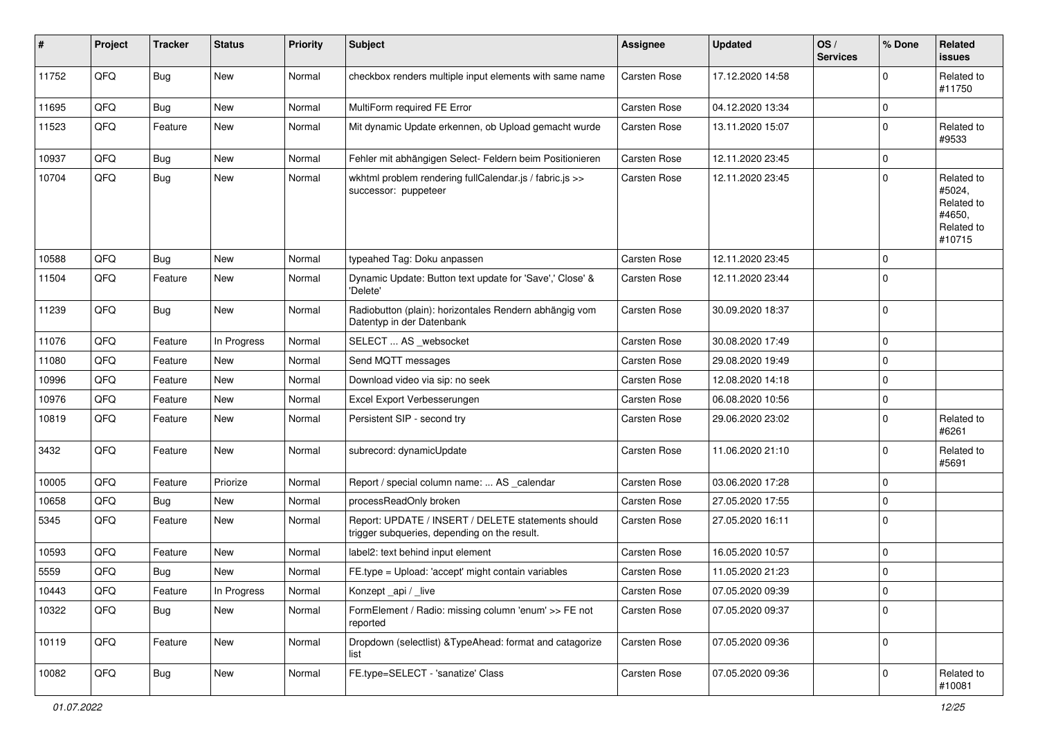| #     | Project | <b>Tracker</b> | <b>Status</b> | <b>Priority</b> | <b>Subject</b>                                                                                     | <b>Assignee</b>     | <b>Updated</b>   | OS/<br><b>Services</b> | % Done      | Related<br><b>issues</b>                                             |
|-------|---------|----------------|---------------|-----------------|----------------------------------------------------------------------------------------------------|---------------------|------------------|------------------------|-------------|----------------------------------------------------------------------|
| 11752 | QFQ     | <b>Bug</b>     | New           | Normal          | checkbox renders multiple input elements with same name                                            | Carsten Rose        | 17.12.2020 14:58 |                        | $\Omega$    | Related to<br>#11750                                                 |
| 11695 | QFQ     | <b>Bug</b>     | <b>New</b>    | Normal          | MultiForm required FE Error                                                                        | <b>Carsten Rose</b> | 04.12.2020 13:34 |                        | $\Omega$    |                                                                      |
| 11523 | QFQ     | Feature        | New           | Normal          | Mit dynamic Update erkennen, ob Upload gemacht wurde                                               | Carsten Rose        | 13.11.2020 15:07 |                        | $\Omega$    | Related to<br>#9533                                                  |
| 10937 | QFQ     | <b>Bug</b>     | <b>New</b>    | Normal          | Fehler mit abhängigen Select- Feldern beim Positionieren                                           | Carsten Rose        | 12.11.2020 23:45 |                        | $\mathbf 0$ |                                                                      |
| 10704 | QFQ     | <b>Bug</b>     | New           | Normal          | wkhtml problem rendering fullCalendar.js / fabric.js >><br>successor: puppeteer                    | Carsten Rose        | 12.11.2020 23:45 |                        | $\mathbf 0$ | Related to<br>#5024,<br>Related to<br>#4650,<br>Related to<br>#10715 |
| 10588 | QFQ     | <b>Bug</b>     | New           | Normal          | typeahed Tag: Doku anpassen                                                                        | Carsten Rose        | 12.11.2020 23:45 |                        | 0           |                                                                      |
| 11504 | QFQ     | Feature        | New           | Normal          | Dynamic Update: Button text update for 'Save',' Close' &<br>'Delete'                               | Carsten Rose        | 12.11.2020 23:44 |                        | $\Omega$    |                                                                      |
| 11239 | QFQ     | <b>Bug</b>     | New           | Normal          | Radiobutton (plain): horizontales Rendern abhängig vom<br>Datentyp in der Datenbank                | <b>Carsten Rose</b> | 30.09.2020 18:37 |                        | $\mathbf 0$ |                                                                      |
| 11076 | QFQ     | Feature        | In Progress   | Normal          | SELECT  AS _websocket                                                                              | <b>Carsten Rose</b> | 30.08.2020 17:49 |                        | $\mathbf 0$ |                                                                      |
| 11080 | QFQ     | Feature        | New           | Normal          | Send MQTT messages                                                                                 | Carsten Rose        | 29.08.2020 19:49 |                        | $\Omega$    |                                                                      |
| 10996 | QFQ     | Feature        | New           | Normal          | Download video via sip: no seek                                                                    | <b>Carsten Rose</b> | 12.08.2020 14:18 |                        | 0           |                                                                      |
| 10976 | QFQ     | Feature        | New           | Normal          | Excel Export Verbesserungen                                                                        | Carsten Rose        | 06.08.2020 10:56 |                        | 0           |                                                                      |
| 10819 | QFQ     | Feature        | New           | Normal          | Persistent SIP - second try                                                                        | Carsten Rose        | 29.06.2020 23:02 |                        | $\Omega$    | Related to<br>#6261                                                  |
| 3432  | QFQ     | Feature        | New           | Normal          | subrecord: dynamicUpdate                                                                           | Carsten Rose        | 11.06.2020 21:10 |                        | $\mathbf 0$ | Related to<br>#5691                                                  |
| 10005 | QFQ     | Feature        | Priorize      | Normal          | Report / special column name:  AS _calendar                                                        | Carsten Rose        | 03.06.2020 17:28 |                        | $\Omega$    |                                                                      |
| 10658 | QFQ     | Bug            | New           | Normal          | processReadOnly broken                                                                             | Carsten Rose        | 27.05.2020 17:55 |                        | $\Omega$    |                                                                      |
| 5345  | QFQ     | Feature        | New           | Normal          | Report: UPDATE / INSERT / DELETE statements should<br>trigger subqueries, depending on the result. | Carsten Rose        | 27.05.2020 16:11 |                        | $\mathbf 0$ |                                                                      |
| 10593 | QFQ     | Feature        | New           | Normal          | label2: text behind input element                                                                  | Carsten Rose        | 16.05.2020 10:57 |                        | $\Omega$    |                                                                      |
| 5559  | QFQ     | <b>Bug</b>     | New           | Normal          | FE.type = Upload: 'accept' might contain variables                                                 | <b>Carsten Rose</b> | 11.05.2020 21:23 |                        | 0           |                                                                      |
| 10443 | QFQ     | Feature        | In Progress   | Normal          | Konzept _api / _live                                                                               | Carsten Rose        | 07.05.2020 09:39 |                        | 0           |                                                                      |
| 10322 | QFQ     | Bug            | New           | Normal          | FormElement / Radio: missing column 'enum' >> FE not<br>reported                                   | Carsten Rose        | 07.05.2020 09:37 |                        | $\Omega$    |                                                                      |
| 10119 | QFQ     | Feature        | New           | Normal          | Dropdown (selectlist) & TypeAhead: format and catagorize<br>list                                   | Carsten Rose        | 07.05.2020 09:36 |                        | $\mathbf 0$ |                                                                      |
| 10082 | QFQ     | <b>Bug</b>     | New           | Normal          | FE.type=SELECT - 'sanatize' Class                                                                  | Carsten Rose        | 07.05.2020 09:36 |                        | $\mathbf 0$ | Related to<br>#10081                                                 |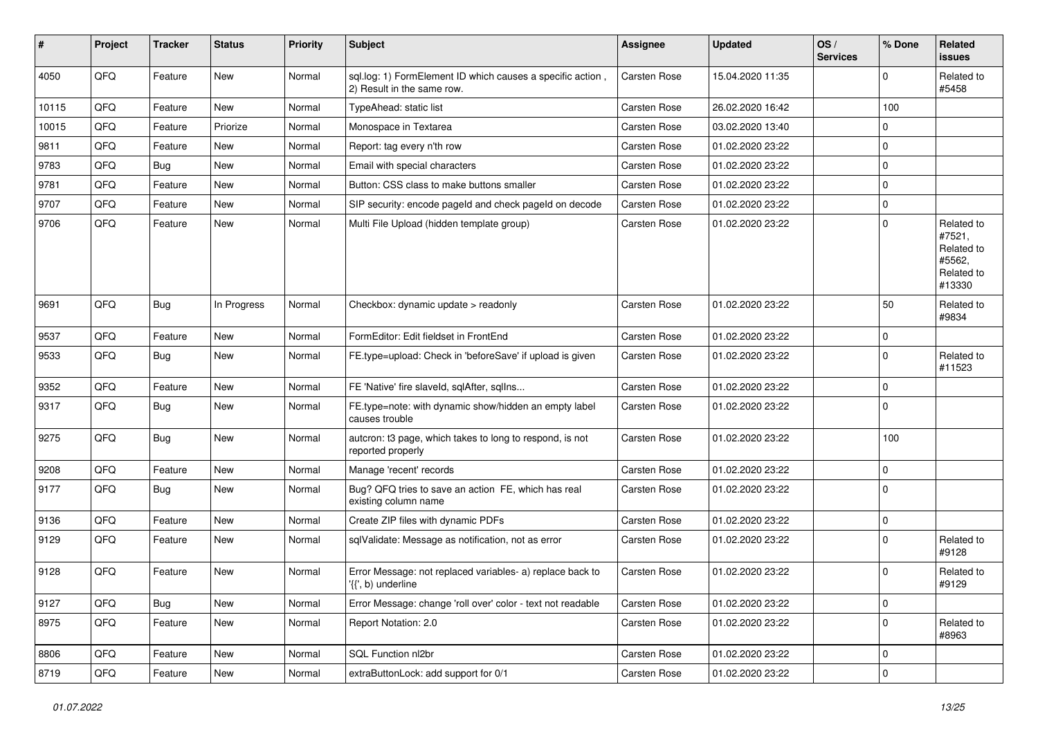| #     | Project | <b>Tracker</b> | <b>Status</b> | <b>Priority</b> | <b>Subject</b>                                                                           | <b>Assignee</b>     | <b>Updated</b>   | OS/<br><b>Services</b> | % Done      | Related<br>issues                                                    |
|-------|---------|----------------|---------------|-----------------|------------------------------------------------------------------------------------------|---------------------|------------------|------------------------|-------------|----------------------------------------------------------------------|
| 4050  | QFQ     | Feature        | New           | Normal          | sql.log: 1) FormElement ID which causes a specific action.<br>2) Result in the same row. | Carsten Rose        | 15.04.2020 11:35 |                        | 0           | Related to<br>#5458                                                  |
| 10115 | QFQ     | Feature        | <b>New</b>    | Normal          | TypeAhead: static list                                                                   | <b>Carsten Rose</b> | 26.02.2020 16:42 |                        | 100         |                                                                      |
| 10015 | QFQ     | Feature        | Priorize      | Normal          | Monospace in Textarea                                                                    | Carsten Rose        | 03.02.2020 13:40 |                        | 0           |                                                                      |
| 9811  | QFQ     | Feature        | New           | Normal          | Report: tag every n'th row                                                               | Carsten Rose        | 01.02.2020 23:22 |                        | $\mathbf 0$ |                                                                      |
| 9783  | QFQ     | Bug            | <b>New</b>    | Normal          | Email with special characters                                                            | Carsten Rose        | 01.02.2020 23:22 |                        | $\pmb{0}$   |                                                                      |
| 9781  | QFQ     | Feature        | New           | Normal          | Button: CSS class to make buttons smaller                                                | <b>Carsten Rose</b> | 01.02.2020 23:22 |                        | 0           |                                                                      |
| 9707  | QFQ     | Feature        | <b>New</b>    | Normal          | SIP security: encode pageld and check pageld on decode                                   | Carsten Rose        | 01.02.2020 23:22 |                        | 0           |                                                                      |
| 9706  | QFQ     | Feature        | New           | Normal          | Multi File Upload (hidden template group)                                                | Carsten Rose        | 01.02.2020 23:22 |                        | $\mathbf 0$ | Related to<br>#7521,<br>Related to<br>#5562,<br>Related to<br>#13330 |
| 9691  | QFQ     | <b>Bug</b>     | In Progress   | Normal          | Checkbox: dynamic update > readonly                                                      | Carsten Rose        | 01.02.2020 23:22 |                        | 50          | Related to<br>#9834                                                  |
| 9537  | QFQ     | Feature        | <b>New</b>    | Normal          | FormEditor: Edit fieldset in FrontEnd                                                    | Carsten Rose        | 01.02.2020 23:22 |                        | $\mathbf 0$ |                                                                      |
| 9533  | QFQ     | <b>Bug</b>     | New           | Normal          | FE.type=upload: Check in 'beforeSave' if upload is given                                 | <b>Carsten Rose</b> | 01.02.2020 23:22 |                        | 0           | Related to<br>#11523                                                 |
| 9352  | QFQ     | Feature        | <b>New</b>    | Normal          | FE 'Native' fire slaveld, sqlAfter, sqlIns                                               | Carsten Rose        | 01.02.2020 23:22 |                        | $\mathbf 0$ |                                                                      |
| 9317  | QFQ     | <b>Bug</b>     | New           | Normal          | FE.type=note: with dynamic show/hidden an empty label<br>causes trouble                  | Carsten Rose        | 01.02.2020 23:22 |                        | $\mathbf 0$ |                                                                      |
| 9275  | QFQ     | <b>Bug</b>     | <b>New</b>    | Normal          | autcron: t3 page, which takes to long to respond, is not<br>reported properly            | Carsten Rose        | 01.02.2020 23:22 |                        | 100         |                                                                      |
| 9208  | QFQ     | Feature        | <b>New</b>    | Normal          | Manage 'recent' records                                                                  | Carsten Rose        | 01.02.2020 23:22 |                        | 0           |                                                                      |
| 9177  | QFQ     | <b>Bug</b>     | <b>New</b>    | Normal          | Bug? QFQ tries to save an action FE, which has real<br>existing column name              | Carsten Rose        | 01.02.2020 23:22 |                        | 0           |                                                                      |
| 9136  | QFQ     | Feature        | <b>New</b>    | Normal          | Create ZIP files with dynamic PDFs                                                       | Carsten Rose        | 01.02.2020 23:22 |                        | $\pmb{0}$   |                                                                      |
| 9129  | QFQ     | Feature        | New           | Normal          | sqlValidate: Message as notification, not as error                                       | Carsten Rose        | 01.02.2020 23:22 |                        | $\Omega$    | Related to<br>#9128                                                  |
| 9128  | QFQ     | Feature        | New           | Normal          | Error Message: not replaced variables- a) replace back to<br>'{{', b) underline          | Carsten Rose        | 01.02.2020 23:22 |                        | $\Omega$    | Related to<br>#9129                                                  |
| 9127  | QFQ     | Bug            | New           | Normal          | Error Message: change 'roll over' color - text not readable                              | Carsten Rose        | 01.02.2020 23:22 |                        | $\mathbf 0$ |                                                                      |
| 8975  | QFQ     | Feature        | New           | Normal          | Report Notation: 2.0                                                                     | Carsten Rose        | 01.02.2020 23:22 |                        | $\mathbf 0$ | Related to<br>#8963                                                  |
| 8806  | QFQ     | Feature        | New           | Normal          | SQL Function nl2br                                                                       | Carsten Rose        | 01.02.2020 23:22 |                        | $\pmb{0}$   |                                                                      |
| 8719  | QFQ     | Feature        | New           | Normal          | extraButtonLock: add support for 0/1                                                     | Carsten Rose        | 01.02.2020 23:22 |                        | $\pmb{0}$   |                                                                      |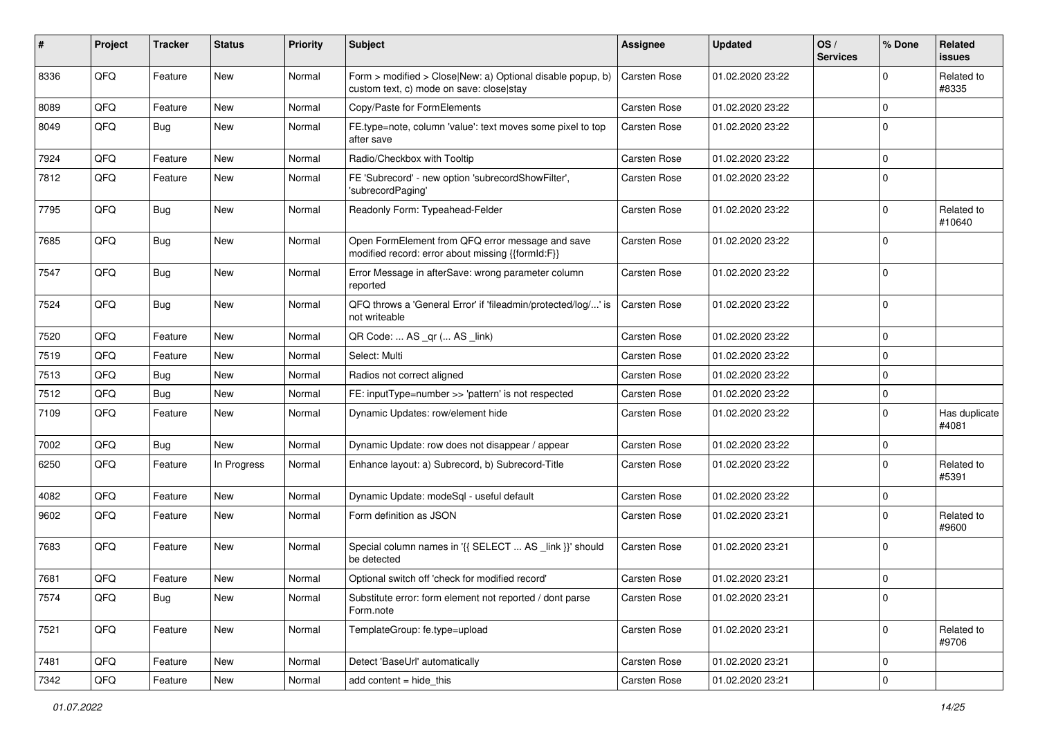| #    | Project | <b>Tracker</b> | <b>Status</b> | <b>Priority</b> | <b>Subject</b>                                                                                         | Assignee            | <b>Updated</b>   | OS/<br><b>Services</b> | % Done      | Related<br>issues      |
|------|---------|----------------|---------------|-----------------|--------------------------------------------------------------------------------------------------------|---------------------|------------------|------------------------|-------------|------------------------|
| 8336 | QFQ     | Feature        | New           | Normal          | Form > modified > Close New: a) Optional disable popup, b)<br>custom text, c) mode on save: close stay | Carsten Rose        | 01.02.2020 23:22 |                        | $\Omega$    | Related to<br>#8335    |
| 8089 | QFQ     | Feature        | New           | Normal          | Copy/Paste for FormElements                                                                            | Carsten Rose        | 01.02.2020 23:22 |                        | $\Omega$    |                        |
| 8049 | QFQ     | <b>Bug</b>     | New           | Normal          | FE.type=note, column 'value': text moves some pixel to top<br>after save                               | Carsten Rose        | 01.02.2020 23:22 |                        | $\mathbf 0$ |                        |
| 7924 | QFQ     | Feature        | New           | Normal          | Radio/Checkbox with Tooltip                                                                            | Carsten Rose        | 01.02.2020 23:22 |                        | 0           |                        |
| 7812 | QFQ     | Feature        | New           | Normal          | FE 'Subrecord' - new option 'subrecordShowFilter',<br>'subrecordPaging'                                | Carsten Rose        | 01.02.2020 23:22 |                        | $\Omega$    |                        |
| 7795 | QFQ     | <b>Bug</b>     | New           | Normal          | Readonly Form: Typeahead-Felder                                                                        | Carsten Rose        | 01.02.2020 23:22 |                        | $\mathbf 0$ | Related to<br>#10640   |
| 7685 | QFQ     | Bug            | New           | Normal          | Open FormElement from QFQ error message and save<br>modified record: error about missing {{formId:F}}  | Carsten Rose        | 01.02.2020 23:22 |                        | $\Omega$    |                        |
| 7547 | QFQ     | Bug            | New           | Normal          | Error Message in afterSave: wrong parameter column<br>reported                                         | Carsten Rose        | 01.02.2020 23:22 |                        | $\Omega$    |                        |
| 7524 | QFQ     | <b>Bug</b>     | New           | Normal          | QFQ throws a 'General Error' if 'fileadmin/protected/log/' is<br>not writeable                         | Carsten Rose        | 01.02.2020 23:22 |                        | 0           |                        |
| 7520 | QFQ     | Feature        | New           | Normal          | QR Code:  AS _qr ( AS _link)                                                                           | Carsten Rose        | 01.02.2020 23:22 |                        | 0           |                        |
| 7519 | QFQ     | Feature        | New           | Normal          | Select: Multi                                                                                          | Carsten Rose        | 01.02.2020 23:22 |                        | 0           |                        |
| 7513 | QFQ     | Bug            | New           | Normal          | Radios not correct aligned                                                                             | Carsten Rose        | 01.02.2020 23:22 |                        | 0           |                        |
| 7512 | QFQ     | Bug            | New           | Normal          | FE: inputType=number >> 'pattern' is not respected                                                     | Carsten Rose        | 01.02.2020 23:22 |                        | $\mathbf 0$ |                        |
| 7109 | QFQ     | Feature        | New           | Normal          | Dynamic Updates: row/element hide                                                                      | Carsten Rose        | 01.02.2020 23:22 |                        | $\mathbf 0$ | Has duplicate<br>#4081 |
| 7002 | QFQ     | Bug            | New           | Normal          | Dynamic Update: row does not disappear / appear                                                        | <b>Carsten Rose</b> | 01.02.2020 23:22 |                        | 0           |                        |
| 6250 | QFQ     | Feature        | In Progress   | Normal          | Enhance layout: a) Subrecord, b) Subrecord-Title                                                       | Carsten Rose        | 01.02.2020 23:22 |                        | $\Omega$    | Related to<br>#5391    |
| 4082 | QFQ     | Feature        | <b>New</b>    | Normal          | Dynamic Update: modeSql - useful default                                                               | <b>Carsten Rose</b> | 01.02.2020 23:22 |                        | 0           |                        |
| 9602 | QFQ     | Feature        | New           | Normal          | Form definition as JSON                                                                                | Carsten Rose        | 01.02.2020 23:21 |                        | $\mathbf 0$ | Related to<br>#9600    |
| 7683 | QFQ     | Feature        | New           | Normal          | Special column names in '{{ SELECT  AS _link }}' should<br>be detected                                 | Carsten Rose        | 01.02.2020 23:21 |                        | 0           |                        |
| 7681 | QFQ     | Feature        | New           | Normal          | Optional switch off 'check for modified record'                                                        | Carsten Rose        | 01.02.2020 23:21 |                        | $\mathbf 0$ |                        |
| 7574 | QFQ     | <b>Bug</b>     | New           | Normal          | Substitute error: form element not reported / dont parse<br>Form.note                                  | Carsten Rose        | 01.02.2020 23:21 |                        | $\pmb{0}$   |                        |
| 7521 | QFQ     | Feature        | New           | Normal          | TemplateGroup: fe.type=upload                                                                          | Carsten Rose        | 01.02.2020 23:21 |                        | 0           | Related to<br>#9706    |
| 7481 | QFQ     | Feature        | New           | Normal          | Detect 'BaseUrl' automatically                                                                         | Carsten Rose        | 01.02.2020 23:21 |                        | 0           |                        |
| 7342 | QFG     | Feature        | New           | Normal          | add content = hide_this                                                                                | Carsten Rose        | 01.02.2020 23:21 |                        | $\pmb{0}$   |                        |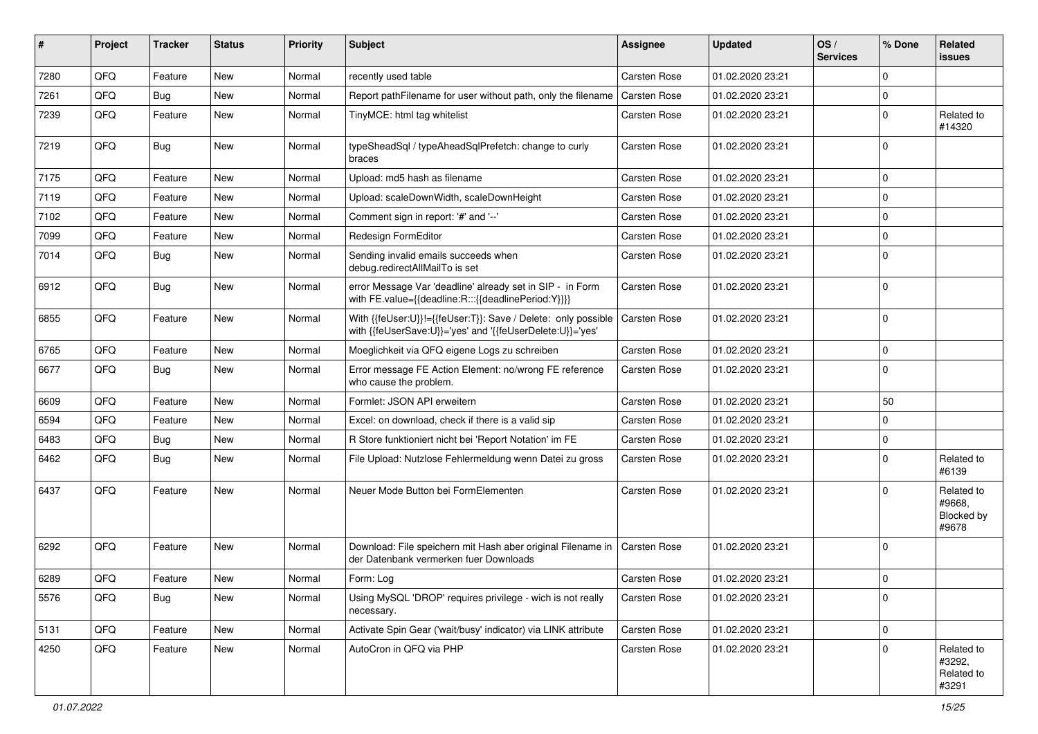| ∦    | Project | <b>Tracker</b> | <b>Status</b> | <b>Priority</b> | Subject                                                                                                                    | <b>Assignee</b>     | <b>Updated</b>   | OS/<br><b>Services</b> | % Done      | Related<br>issues                           |
|------|---------|----------------|---------------|-----------------|----------------------------------------------------------------------------------------------------------------------------|---------------------|------------------|------------------------|-------------|---------------------------------------------|
| 7280 | QFQ     | Feature        | <b>New</b>    | Normal          | recently used table                                                                                                        | <b>Carsten Rose</b> | 01.02.2020 23:21 |                        | 0           |                                             |
| 7261 | QFQ     | Bug            | New           | Normal          | Report pathFilename for user without path, only the filename                                                               | <b>Carsten Rose</b> | 01.02.2020 23:21 |                        | 0           |                                             |
| 7239 | QFQ     | Feature        | New           | Normal          | TinyMCE: html tag whitelist                                                                                                | Carsten Rose        | 01.02.2020 23:21 |                        | $\mathbf 0$ | Related to<br>#14320                        |
| 7219 | QFQ     | <b>Bug</b>     | <b>New</b>    | Normal          | typeSheadSql / typeAheadSqlPrefetch: change to curly<br>braces                                                             | <b>Carsten Rose</b> | 01.02.2020 23:21 |                        | $\Omega$    |                                             |
| 7175 | QFQ     | Feature        | <b>New</b>    | Normal          | Upload: md5 hash as filename                                                                                               | <b>Carsten Rose</b> | 01.02.2020 23:21 |                        | 0           |                                             |
| 7119 | QFQ     | Feature        | New           | Normal          | Upload: scaleDownWidth, scaleDownHeight                                                                                    | <b>Carsten Rose</b> | 01.02.2020 23:21 |                        | $\mathbf 0$ |                                             |
| 7102 | QFQ     | Feature        | New           | Normal          | Comment sign in report: '#' and '--'                                                                                       | Carsten Rose        | 01.02.2020 23:21 |                        | $\mathbf 0$ |                                             |
| 7099 | QFQ     | Feature        | New           | Normal          | Redesign FormEditor                                                                                                        | <b>Carsten Rose</b> | 01.02.2020 23:21 |                        | $\mathbf 0$ |                                             |
| 7014 | QFQ     | Bug            | New           | Normal          | Sending invalid emails succeeds when<br>debug.redirectAllMailTo is set                                                     | Carsten Rose        | 01.02.2020 23:21 |                        | $\mathbf 0$ |                                             |
| 6912 | QFQ     | <b>Bug</b>     | <b>New</b>    | Normal          | error Message Var 'deadline' already set in SIP - in Form<br>with FE.value={{deadline:R:::{{deadlinePeriod:Y}}}}           | <b>Carsten Rose</b> | 01.02.2020 23:21 |                        | $\Omega$    |                                             |
| 6855 | QFQ     | Feature        | <b>New</b>    | Normal          | With {{feUser:U}}!={{feUser:T}}: Save / Delete: only possible<br>with {{feUserSave:U}}='yes' and '{{feUserDelete:U}}='yes' | Carsten Rose        | 01.02.2020 23:21 |                        | 0           |                                             |
| 6765 | QFQ     | Feature        | <b>New</b>    | Normal          | Moeglichkeit via QFQ eigene Logs zu schreiben                                                                              | <b>Carsten Rose</b> | 01.02.2020 23:21 |                        | $\pmb{0}$   |                                             |
| 6677 | QFQ     | Bug            | New           | Normal          | Error message FE Action Element: no/wrong FE reference<br>who cause the problem.                                           | <b>Carsten Rose</b> | 01.02.2020 23:21 |                        | $\mathbf 0$ |                                             |
| 6609 | QFQ     | Feature        | <b>New</b>    | Normal          | Formlet: JSON API erweitern                                                                                                | <b>Carsten Rose</b> | 01.02.2020 23:21 |                        | 50          |                                             |
| 6594 | QFQ     | Feature        | New           | Normal          | Excel: on download, check if there is a valid sip                                                                          | <b>Carsten Rose</b> | 01.02.2020 23:21 |                        | 0           |                                             |
| 6483 | QFQ     | <b>Bug</b>     | New           | Normal          | R Store funktioniert nicht bei 'Report Notation' im FE                                                                     | <b>Carsten Rose</b> | 01.02.2020 23:21 |                        | $\mathbf 0$ |                                             |
| 6462 | QFQ     | <b>Bug</b>     | <b>New</b>    | Normal          | File Upload: Nutzlose Fehlermeldung wenn Datei zu gross                                                                    | Carsten Rose        | 01.02.2020 23:21 |                        | 0           | Related to<br>#6139                         |
| 6437 | QFQ     | Feature        | New           | Normal          | Neuer Mode Button bei FormElementen                                                                                        | <b>Carsten Rose</b> | 01.02.2020 23:21 |                        | $\Omega$    | Related to<br>#9668.<br>Blocked by<br>#9678 |
| 6292 | QFQ     | Feature        | New           | Normal          | Download: File speichern mit Hash aber original Filename in<br>der Datenbank vermerken fuer Downloads                      | <b>Carsten Rose</b> | 01.02.2020 23:21 |                        | 0           |                                             |
| 6289 | QFQ     | Feature        | New           | Normal          | Form: Log                                                                                                                  | Carsten Rose        | 01.02.2020 23:21 |                        | 0           |                                             |
| 5576 | QFQ     | <b>Bug</b>     | New           | Normal          | Using MySQL 'DROP' requires privilege - wich is not really<br>necessary.                                                   | Carsten Rose        | 01.02.2020 23:21 |                        | $\pmb{0}$   |                                             |
| 5131 | QFO     | Feature        | New           | Normal          | Activate Spin Gear ('wait/busy' indicator) via LINK attribute                                                              | Carsten Rose        | 01.02.2020 23:21 |                        | $\pmb{0}$   |                                             |
| 4250 | QFQ     | Feature        | New           | Normal          | AutoCron in QFQ via PHP                                                                                                    | Carsten Rose        | 01.02.2020 23:21 |                        | $\mathbf 0$ | Related to<br>#3292,<br>Related to<br>#3291 |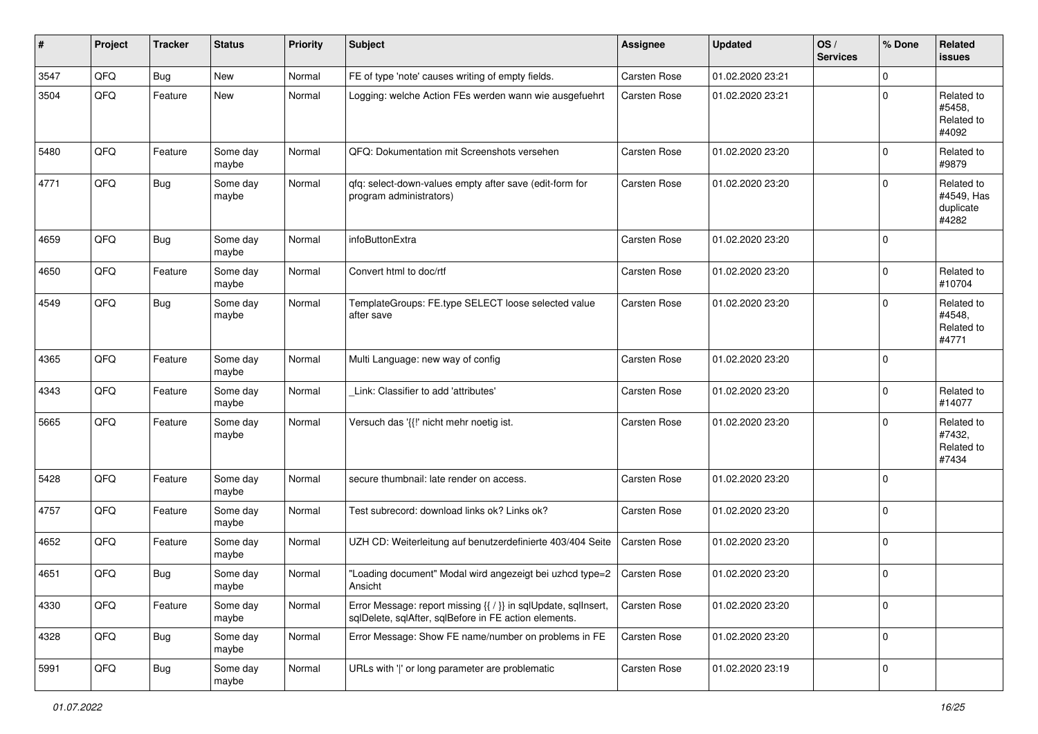| #    | Project | <b>Tracker</b> | <b>Status</b>     | <b>Priority</b> | Subject                                                                                                                 | <b>Assignee</b>     | <b>Updated</b>   | OS/<br><b>Services</b> | % Done      | Related<br>issues                              |
|------|---------|----------------|-------------------|-----------------|-------------------------------------------------------------------------------------------------------------------------|---------------------|------------------|------------------------|-------------|------------------------------------------------|
| 3547 | QFQ     | <b>Bug</b>     | New               | Normal          | FE of type 'note' causes writing of empty fields.                                                                       | Carsten Rose        | 01.02.2020 23:21 |                        | 0           |                                                |
| 3504 | QFQ     | Feature        | New               | Normal          | Logging: welche Action FEs werden wann wie ausgefuehrt                                                                  | <b>Carsten Rose</b> | 01.02.2020 23:21 |                        | $\mathbf 0$ | Related to<br>#5458,<br>Related to<br>#4092    |
| 5480 | QFQ     | Feature        | Some day<br>maybe | Normal          | QFQ: Dokumentation mit Screenshots versehen                                                                             | <b>Carsten Rose</b> | 01.02.2020 23:20 |                        | $\mathbf 0$ | Related to<br>#9879                            |
| 4771 | QFQ     | <b>Bug</b>     | Some day<br>maybe | Normal          | qfq: select-down-values empty after save (edit-form for<br>program administrators)                                      | Carsten Rose        | 01.02.2020 23:20 |                        | $\mathbf 0$ | Related to<br>#4549, Has<br>duplicate<br>#4282 |
| 4659 | QFQ     | Bug            | Some day<br>maybe | Normal          | infoButtonExtra                                                                                                         | <b>Carsten Rose</b> | 01.02.2020 23:20 |                        | $\mathbf 0$ |                                                |
| 4650 | QFQ     | Feature        | Some day<br>maybe | Normal          | Convert html to doc/rtf                                                                                                 | Carsten Rose        | 01.02.2020 23:20 |                        | 0           | Related to<br>#10704                           |
| 4549 | QFQ     | <b>Bug</b>     | Some day<br>maybe | Normal          | TemplateGroups: FE.type SELECT loose selected value<br>after save                                                       | Carsten Rose        | 01.02.2020 23:20 |                        | $\Omega$    | Related to<br>#4548,<br>Related to<br>#4771    |
| 4365 | QFQ     | Feature        | Some day<br>maybe | Normal          | Multi Language: new way of config                                                                                       | Carsten Rose        | 01.02.2020 23:20 |                        | $\mathbf 0$ |                                                |
| 4343 | QFQ     | Feature        | Some day<br>maybe | Normal          | Link: Classifier to add 'attributes'                                                                                    | <b>Carsten Rose</b> | 01.02.2020 23:20 |                        | 0           | Related to<br>#14077                           |
| 5665 | QFQ     | Feature        | Some day<br>maybe | Normal          | Versuch das '{{!' nicht mehr noetig ist.                                                                                | <b>Carsten Rose</b> | 01.02.2020 23:20 |                        | 0           | Related to<br>#7432,<br>Related to<br>#7434    |
| 5428 | QFQ     | Feature        | Some day<br>maybe | Normal          | secure thumbnail: late render on access.                                                                                | Carsten Rose        | 01.02.2020 23:20 |                        | $\mathbf 0$ |                                                |
| 4757 | QFQ     | Feature        | Some day<br>maybe | Normal          | Test subrecord: download links ok? Links ok?                                                                            | Carsten Rose        | 01.02.2020 23:20 |                        | $\mathbf 0$ |                                                |
| 4652 | QFQ     | Feature        | Some day<br>maybe | Normal          | UZH CD: Weiterleitung auf benutzerdefinierte 403/404 Seite                                                              | <b>Carsten Rose</b> | 01.02.2020 23:20 |                        | $\mathbf 0$ |                                                |
| 4651 | QFQ     | Bug            | Some day<br>maybe | Normal          | "Loading document" Modal wird angezeigt bei uzhcd type=2<br>Ansicht                                                     | Carsten Rose        | 01.02.2020 23:20 |                        | $\pmb{0}$   |                                                |
| 4330 | QFQ     | Feature        | Some day<br>maybe | Normal          | Error Message: report missing {{ / }} in sqlUpdate, sqlInsert,<br>sqlDelete, sqlAfter, sqlBefore in FE action elements. | Carsten Rose        | 01.02.2020 23:20 |                        | $\mathbf 0$ |                                                |
| 4328 | QFQ     | Bug            | Some day<br>maybe | Normal          | Error Message: Show FE name/number on problems in FE                                                                    | Carsten Rose        | 01.02.2020 23:20 |                        | $\mathbf 0$ |                                                |
| 5991 | QFQ     | Bug            | Some day<br>maybe | Normal          | URLs with ' ' or long parameter are problematic                                                                         | Carsten Rose        | 01.02.2020 23:19 |                        | $\pmb{0}$   |                                                |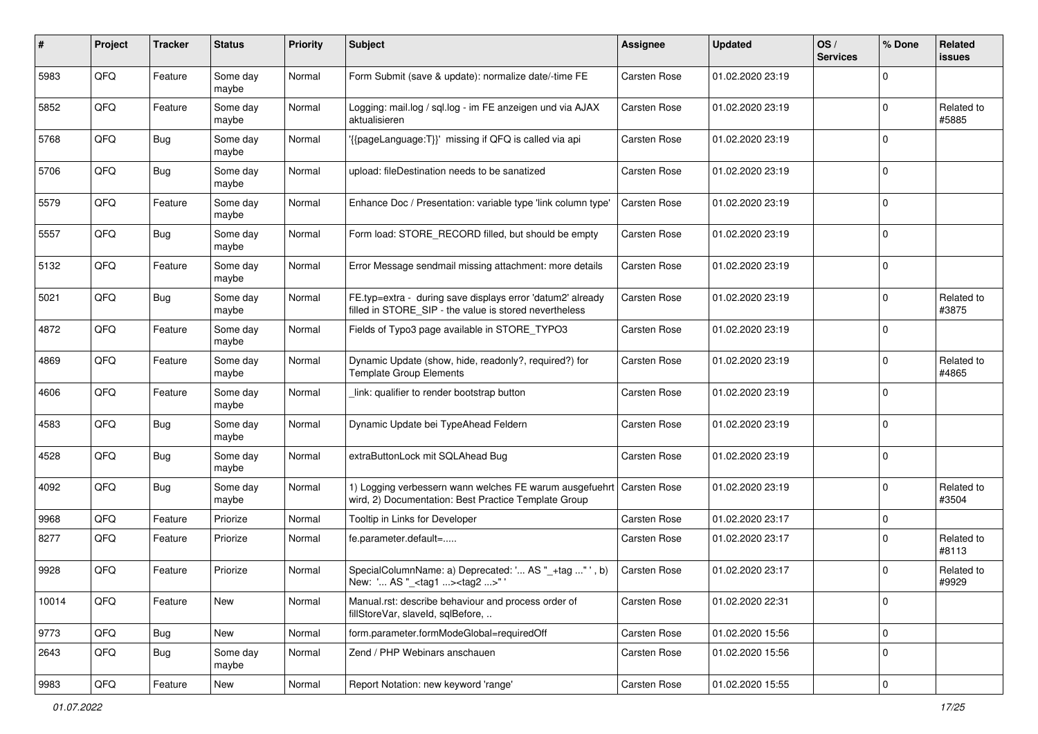| ∦     | Project | <b>Tracker</b> | <b>Status</b>     | <b>Priority</b> | Subject                                                                                                                        | <b>Assignee</b>     | <b>Updated</b>   | OS/<br><b>Services</b> | % Done      | Related<br>issues   |
|-------|---------|----------------|-------------------|-----------------|--------------------------------------------------------------------------------------------------------------------------------|---------------------|------------------|------------------------|-------------|---------------------|
| 5983  | QFQ     | Feature        | Some day<br>maybe | Normal          | Form Submit (save & update): normalize date/-time FE                                                                           | Carsten Rose        | 01.02.2020 23:19 |                        | $\Omega$    |                     |
| 5852  | QFQ     | Feature        | Some day<br>maybe | Normal          | Logging: mail.log / sgl.log - im FE anzeigen und via AJAX<br>aktualisieren                                                     | Carsten Rose        | 01.02.2020 23:19 |                        | $\Omega$    | Related to<br>#5885 |
| 5768  | QFQ     | <b>Bug</b>     | Some day<br>maybe | Normal          | '{{pageLanguage:T}}' missing if QFQ is called via api                                                                          | Carsten Rose        | 01.02.2020 23:19 |                        | $\Omega$    |                     |
| 5706  | QFQ     | <b>Bug</b>     | Some day<br>maybe | Normal          | upload: fileDestination needs to be sanatized                                                                                  | Carsten Rose        | 01.02.2020 23:19 |                        | $\Omega$    |                     |
| 5579  | QFQ     | Feature        | Some day<br>maybe | Normal          | Enhance Doc / Presentation: variable type 'link column type'                                                                   | Carsten Rose        | 01.02.2020 23:19 |                        | $\Omega$    |                     |
| 5557  | QFQ     | Bug            | Some day<br>maybe | Normal          | Form load: STORE_RECORD filled, but should be empty                                                                            | Carsten Rose        | 01.02.2020 23:19 |                        | $\Omega$    |                     |
| 5132  | QFQ     | Feature        | Some day<br>maybe | Normal          | Error Message sendmail missing attachment: more details                                                                        | Carsten Rose        | 01.02.2020 23:19 |                        | $\Omega$    |                     |
| 5021  | QFQ     | <b>Bug</b>     | Some day<br>maybe | Normal          | FE.typ=extra - during save displays error 'datum2' already<br>filled in STORE_SIP - the value is stored nevertheless           | <b>Carsten Rose</b> | 01.02.2020 23:19 |                        | $\Omega$    | Related to<br>#3875 |
| 4872  | QFQ     | Feature        | Some day<br>maybe | Normal          | Fields of Typo3 page available in STORE TYPO3                                                                                  | Carsten Rose        | 01.02.2020 23:19 |                        | $\Omega$    |                     |
| 4869  | QFQ     | Feature        | Some day<br>maybe | Normal          | Dynamic Update (show, hide, readonly?, required?) for<br><b>Template Group Elements</b>                                        | Carsten Rose        | 01.02.2020 23:19 |                        | $\Omega$    | Related to<br>#4865 |
| 4606  | QFQ     | Feature        | Some day<br>maybe | Normal          | link: qualifier to render bootstrap button                                                                                     | Carsten Rose        | 01.02.2020 23:19 |                        | $\Omega$    |                     |
| 4583  | QFQ     | Bug            | Some day<br>maybe | Normal          | Dynamic Update bei TypeAhead Feldern                                                                                           | Carsten Rose        | 01.02.2020 23:19 |                        | $\Omega$    |                     |
| 4528  | QFQ     | <b>Bug</b>     | Some day<br>maybe | Normal          | extraButtonLock mit SQLAhead Bug                                                                                               | Carsten Rose        | 01.02.2020 23:19 |                        | $\Omega$    |                     |
| 4092  | QFQ     | <b>Bug</b>     | Some day<br>maybe | Normal          | 1) Logging verbessern wann welches FE warum ausgefuehrt   Carsten Rose<br>wird, 2) Documentation: Best Practice Template Group |                     | 01.02.2020 23:19 |                        | $\Omega$    | Related to<br>#3504 |
| 9968  | QFQ     | Feature        | Priorize          | Normal          | Tooltip in Links for Developer                                                                                                 | <b>Carsten Rose</b> | 01.02.2020 23:17 |                        | $\Omega$    |                     |
| 8277  | QFQ     | Feature        | Priorize          | Normal          | fe.parameter.default=                                                                                                          | Carsten Rose        | 01.02.2020 23:17 |                        | $\Omega$    | Related to<br>#8113 |
| 9928  | QFQ     | Feature        | Priorize          | Normal          | SpecialColumnName: a) Deprecated: ' AS "_+tag " ', b)<br>New: ' AS "_ <tag1><tag2>"</tag2></tag1>                              | Carsten Rose        | 01.02.2020 23:17 |                        | $\Omega$    | Related to<br>#9929 |
| 10014 | QFQ     | Feature        | New               | Normal          | Manual.rst: describe behaviour and process order of<br>fillStoreVar, slaveId, sqlBefore,                                       | Carsten Rose        | 01.02.2020 22:31 |                        | $\pmb{0}$   |                     |
| 9773  | QFO     | <b>Bug</b>     | New               | Normal          | form.parameter.formModeGlobal=requiredOff                                                                                      | Carsten Rose        | 01.02.2020 15:56 |                        | $\mathbf 0$ |                     |
| 2643  | QFQ     | <b>Bug</b>     | Some day<br>maybe | Normal          | Zend / PHP Webinars anschauen                                                                                                  | Carsten Rose        | 01.02.2020 15:56 |                        | $\mathbf 0$ |                     |
| 9983  | QFQ     | Feature        | New               | Normal          | Report Notation: new keyword 'range'                                                                                           | Carsten Rose        | 01.02.2020 15:55 |                        | $\pmb{0}$   |                     |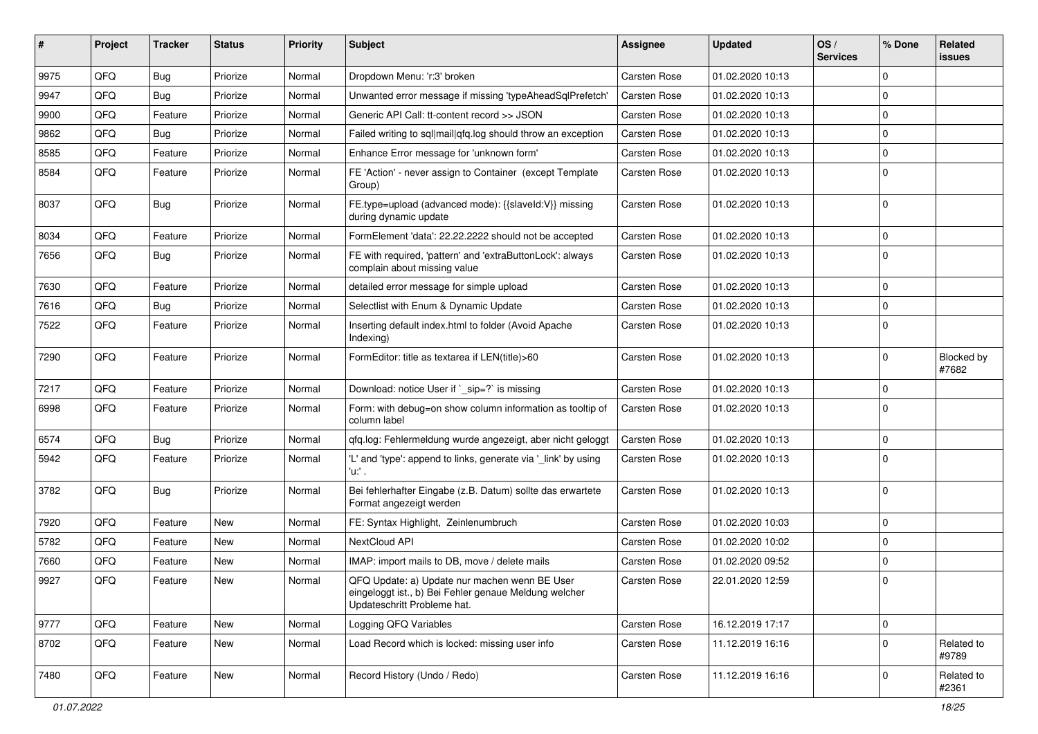| #    | Project | <b>Tracker</b> | <b>Status</b> | <b>Priority</b> | Subject                                                                                                                               | <b>Assignee</b> | <b>Updated</b>   | OS/<br><b>Services</b> | % Done         | Related<br><b>issues</b> |
|------|---------|----------------|---------------|-----------------|---------------------------------------------------------------------------------------------------------------------------------------|-----------------|------------------|------------------------|----------------|--------------------------|
| 9975 | QFQ     | <b>Bug</b>     | Priorize      | Normal          | Dropdown Menu: 'r:3' broken                                                                                                           | Carsten Rose    | 01.02.2020 10:13 |                        | $\mathbf 0$    |                          |
| 9947 | QFQ     | Bug            | Priorize      | Normal          | Unwanted error message if missing 'typeAheadSqlPrefetch'                                                                              | Carsten Rose    | 01.02.2020 10:13 |                        | $\mathbf 0$    |                          |
| 9900 | QFQ     | Feature        | Priorize      | Normal          | Generic API Call: tt-content record >> JSON                                                                                           | Carsten Rose    | 01.02.2020 10:13 |                        | $\mathbf 0$    |                          |
| 9862 | QFQ     | Bug            | Priorize      | Normal          | Failed writing to sql mail qfq.log should throw an exception                                                                          | Carsten Rose    | 01.02.2020 10:13 |                        | $\mathbf 0$    |                          |
| 8585 | QFQ     | Feature        | Priorize      | Normal          | Enhance Error message for 'unknown form'                                                                                              | Carsten Rose    | 01.02.2020 10:13 |                        | 0              |                          |
| 8584 | QFQ     | Feature        | Priorize      | Normal          | FE 'Action' - never assign to Container (except Template<br>Group)                                                                    | Carsten Rose    | 01.02.2020 10:13 |                        | $\Omega$       |                          |
| 8037 | QFQ     | Bug            | Priorize      | Normal          | FE.type=upload (advanced mode): {{slaveId:V}} missing<br>during dynamic update                                                        | Carsten Rose    | 01.02.2020 10:13 |                        | $\Omega$       |                          |
| 8034 | QFQ     | Feature        | Priorize      | Normal          | FormElement 'data': 22.22.2222 should not be accepted                                                                                 | Carsten Rose    | 01.02.2020 10:13 |                        | $\mathbf 0$    |                          |
| 7656 | QFQ     | Bug            | Priorize      | Normal          | FE with required, 'pattern' and 'extraButtonLock': always<br>complain about missing value                                             | Carsten Rose    | 01.02.2020 10:13 |                        | $\mathbf 0$    |                          |
| 7630 | QFQ     | Feature        | Priorize      | Normal          | detailed error message for simple upload                                                                                              | Carsten Rose    | 01.02.2020 10:13 |                        | $\mathbf 0$    |                          |
| 7616 | QFQ     | <b>Bug</b>     | Priorize      | Normal          | Selectlist with Enum & Dynamic Update                                                                                                 | Carsten Rose    | 01.02.2020 10:13 |                        | $\mathbf 0$    |                          |
| 7522 | QFQ     | Feature        | Priorize      | Normal          | Inserting default index.html to folder (Avoid Apache<br>Indexing)                                                                     | Carsten Rose    | 01.02.2020 10:13 |                        | $\mathbf 0$    |                          |
| 7290 | QFQ     | Feature        | Priorize      | Normal          | FormEditor: title as textarea if LEN(title)>60                                                                                        | Carsten Rose    | 01.02.2020 10:13 |                        | $\mathbf 0$    | Blocked by<br>#7682      |
| 7217 | QFQ     | Feature        | Priorize      | Normal          | Download: notice User if `_sip=?` is missing                                                                                          | Carsten Rose    | 01.02.2020 10:13 |                        | $\mathbf 0$    |                          |
| 6998 | QFQ     | Feature        | Priorize      | Normal          | Form: with debug=on show column information as tooltip of<br>column label                                                             | Carsten Rose    | 01.02.2020 10:13 |                        | $\Omega$       |                          |
| 6574 | QFQ     | <b>Bug</b>     | Priorize      | Normal          | qfq.log: Fehlermeldung wurde angezeigt, aber nicht geloggt                                                                            | Carsten Rose    | 01.02.2020 10:13 |                        | $\mathbf 0$    |                          |
| 5942 | QFQ     | Feature        | Priorize      | Normal          | 'L' and 'type': append to links, generate via '_link' by using<br>'u:' .                                                              | Carsten Rose    | 01.02.2020 10:13 |                        | $\mathbf 0$    |                          |
| 3782 | QFQ     | Bug            | Priorize      | Normal          | Bei fehlerhafter Eingabe (z.B. Datum) sollte das erwartete<br>Format angezeigt werden                                                 | Carsten Rose    | 01.02.2020 10:13 |                        | $\mathbf 0$    |                          |
| 7920 | QFQ     | Feature        | New           | Normal          | FE: Syntax Highlight, Zeinlenumbruch                                                                                                  | Carsten Rose    | 01.02.2020 10:03 |                        | $\mathbf 0$    |                          |
| 5782 | QFQ     | Feature        | <b>New</b>    | Normal          | NextCloud API                                                                                                                         | Carsten Rose    | 01.02.2020 10:02 |                        | $\mathbf 0$    |                          |
| 7660 | QFQ     | Feature        | New           | Normal          | IMAP: import mails to DB, move / delete mails                                                                                         | Carsten Rose    | 01.02.2020 09:52 |                        | $\mathbf 0$    |                          |
| 9927 | QFQ     | Feature        | New           | Normal          | QFQ Update: a) Update nur machen wenn BE User<br>eingeloggt ist., b) Bei Fehler genaue Meldung welcher<br>Updateschritt Probleme hat. | Carsten Rose    | 22.01.2020 12:59 |                        | $\overline{0}$ |                          |
| 9777 | QFQ     | Feature        | New           | Normal          | Logging QFQ Variables                                                                                                                 | Carsten Rose    | 16.12.2019 17:17 |                        | $\pmb{0}$      |                          |
| 8702 | QFQ     | Feature        | New           | Normal          | Load Record which is locked: missing user info                                                                                        | Carsten Rose    | 11.12.2019 16:16 |                        | $\mathbf 0$    | Related to<br>#9789      |
| 7480 | QFQ     | Feature        | New           | Normal          | Record History (Undo / Redo)                                                                                                          | Carsten Rose    | 11.12.2019 16:16 |                        | $\overline{0}$ | Related to<br>#2361      |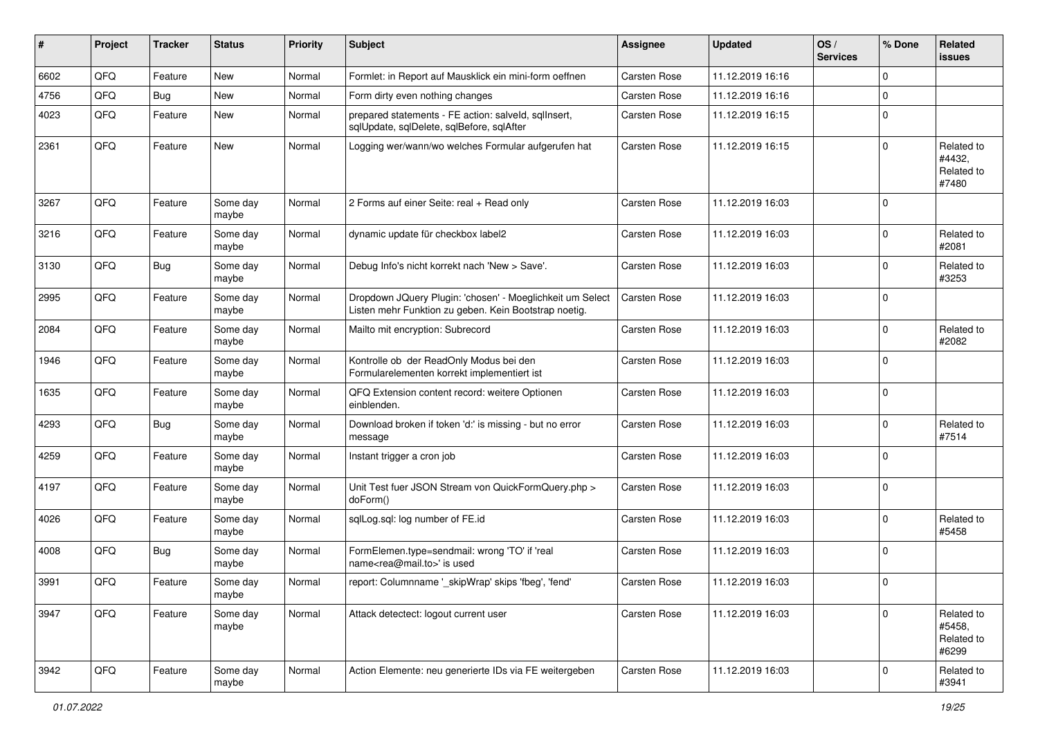| ∦    | Project | <b>Tracker</b> | <b>Status</b>     | <b>Priority</b> | <b>Subject</b>                                                                                                     | <b>Assignee</b>     | <b>Updated</b>   | OS/<br><b>Services</b> | % Done      | Related<br><b>issues</b>                    |
|------|---------|----------------|-------------------|-----------------|--------------------------------------------------------------------------------------------------------------------|---------------------|------------------|------------------------|-------------|---------------------------------------------|
| 6602 | QFQ     | Feature        | <b>New</b>        | Normal          | Formlet: in Report auf Mausklick ein mini-form oeffnen                                                             | <b>Carsten Rose</b> | 11.12.2019 16:16 |                        | 0           |                                             |
| 4756 | QFQ     | Bug            | New               | Normal          | Form dirty even nothing changes                                                                                    | <b>Carsten Rose</b> | 11.12.2019 16:16 |                        | $\Omega$    |                                             |
| 4023 | QFQ     | Feature        | New               | Normal          | prepared statements - FE action: salveld, sqllnsert,<br>sqlUpdate, sqlDelete, sqlBefore, sqlAfter                  | Carsten Rose        | 11.12.2019 16:15 |                        | $\mathbf 0$ |                                             |
| 2361 | QFQ     | Feature        | New               | Normal          | Logging wer/wann/wo welches Formular aufgerufen hat                                                                | <b>Carsten Rose</b> | 11.12.2019 16:15 |                        | $\mathbf 0$ | Related to<br>#4432,<br>Related to<br>#7480 |
| 3267 | QFQ     | Feature        | Some day<br>maybe | Normal          | 2 Forms auf einer Seite: real + Read only                                                                          | <b>Carsten Rose</b> | 11.12.2019 16:03 |                        | $\Omega$    |                                             |
| 3216 | QFQ     | Feature        | Some day<br>maybe | Normal          | dynamic update für checkbox label2                                                                                 | <b>Carsten Rose</b> | 11.12.2019 16:03 |                        | $\mathbf 0$ | Related to<br>#2081                         |
| 3130 | QFQ     | <b>Bug</b>     | Some day<br>maybe | Normal          | Debug Info's nicht korrekt nach 'New > Save'.                                                                      | <b>Carsten Rose</b> | 11.12.2019 16:03 |                        | $\mathbf 0$ | Related to<br>#3253                         |
| 2995 | QFQ     | Feature        | Some day<br>maybe | Normal          | Dropdown JQuery Plugin: 'chosen' - Moeglichkeit um Select<br>Listen mehr Funktion zu geben. Kein Bootstrap noetig. | <b>Carsten Rose</b> | 11.12.2019 16:03 |                        | $\mathbf 0$ |                                             |
| 2084 | QFQ     | Feature        | Some day<br>maybe | Normal          | Mailto mit encryption: Subrecord                                                                                   | Carsten Rose        | 11.12.2019 16:03 |                        | $\Omega$    | Related to<br>#2082                         |
| 1946 | QFQ     | Feature        | Some day<br>maybe | Normal          | Kontrolle ob der ReadOnly Modus bei den<br>Formularelementen korrekt implementiert ist                             | Carsten Rose        | 11.12.2019 16:03 |                        | $\mathbf 0$ |                                             |
| 1635 | QFQ     | Feature        | Some day<br>maybe | Normal          | QFQ Extension content record: weitere Optionen<br>einblenden.                                                      | Carsten Rose        | 11.12.2019 16:03 |                        | $\mathbf 0$ |                                             |
| 4293 | QFQ     | <b>Bug</b>     | Some day<br>maybe | Normal          | Download broken if token 'd:' is missing - but no error<br>message                                                 | Carsten Rose        | 11.12.2019 16:03 |                        | $\Omega$    | Related to<br>#7514                         |
| 4259 | QFQ     | Feature        | Some day<br>maybe | Normal          | Instant trigger a cron job                                                                                         | <b>Carsten Rose</b> | 11.12.2019 16:03 |                        | $\Omega$    |                                             |
| 4197 | QFQ     | Feature        | Some day<br>maybe | Normal          | Unit Test fuer JSON Stream von QuickFormQuery.php ><br>doForm()                                                    | Carsten Rose        | 11.12.2019 16:03 |                        | $\mathbf 0$ |                                             |
| 4026 | QFQ     | Feature        | Some day<br>maybe | Normal          | sqlLog.sql: log number of FE.id                                                                                    | Carsten Rose        | 11.12.2019 16:03 |                        | $\mathbf 0$ | Related to<br>#5458                         |
| 4008 | QFQ     | Bug            | Some day<br>maybe | Normal          | FormElemen.type=sendmail: wrong 'TO' if 'real<br>name <rea@mail.to>' is used</rea@mail.to>                         | <b>Carsten Rose</b> | 11.12.2019 16:03 |                        | $\mathbf 0$ |                                             |
| 3991 | QFQ     | Feature        | Some day<br>maybe | Normal          | report: Columnname '_skipWrap' skips 'fbeg', 'fend'                                                                | <b>Carsten Rose</b> | 11.12.2019 16:03 |                        | $\mathbf 0$ |                                             |
| 3947 | QFQ     | Feature        | Some day<br>maybe | Normal          | Attack detectect: logout current user                                                                              | Carsten Rose        | 11.12.2019 16:03 |                        | $\Omega$    | Related to<br>#5458,<br>Related to<br>#6299 |
| 3942 | QFO     | Feature        | Some day<br>maybe | Normal          | Action Elemente: neu generierte IDs via FE weitergeben                                                             | Carsten Rose        | 11.12.2019 16:03 |                        | 0           | Related to<br>#3941                         |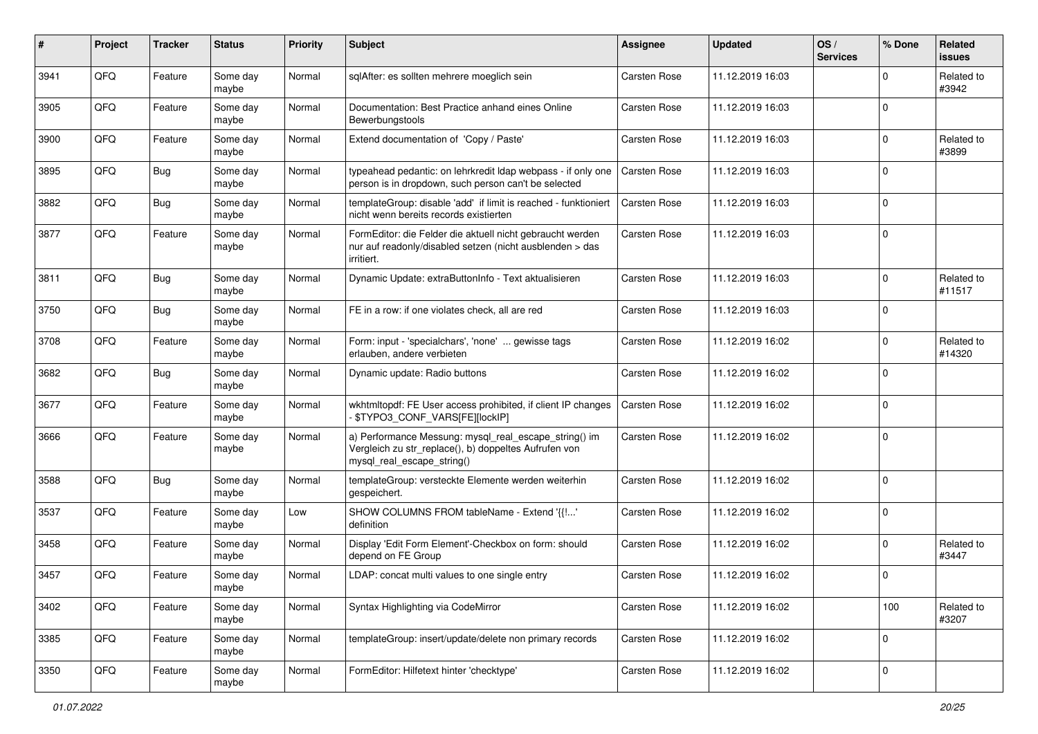| $\vert$ # | Project | <b>Tracker</b> | <b>Status</b>     | <b>Priority</b> | Subject                                                                                                                                      | <b>Assignee</b>     | <b>Updated</b>   | OS/<br><b>Services</b> | % Done      | Related<br>issues    |
|-----------|---------|----------------|-------------------|-----------------|----------------------------------------------------------------------------------------------------------------------------------------------|---------------------|------------------|------------------------|-------------|----------------------|
| 3941      | QFQ     | Feature        | Some day<br>maybe | Normal          | sqlAfter: es sollten mehrere moeglich sein                                                                                                   | <b>Carsten Rose</b> | 11.12.2019 16:03 |                        | $\mathbf 0$ | Related to<br>#3942  |
| 3905      | QFQ     | Feature        | Some day<br>maybe | Normal          | Documentation: Best Practice anhand eines Online<br>Bewerbungstools                                                                          | Carsten Rose        | 11.12.2019 16:03 |                        | $\mathbf 0$ |                      |
| 3900      | QFQ     | Feature        | Some day<br>maybe | Normal          | Extend documentation of 'Copy / Paste'                                                                                                       | <b>Carsten Rose</b> | 11.12.2019 16:03 |                        | 0           | Related to<br>#3899  |
| 3895      | QFQ     | <b>Bug</b>     | Some day<br>maybe | Normal          | typeahead pedantic: on lehrkredit Idap webpass - if only one<br>person is in dropdown, such person can't be selected                         | Carsten Rose        | 11.12.2019 16:03 |                        | $\mathbf 0$ |                      |
| 3882      | QFQ     | <b>Bug</b>     | Some day<br>maybe | Normal          | templateGroup: disable 'add' if limit is reached - funktioniert<br>nicht wenn bereits records existierten                                    | Carsten Rose        | 11.12.2019 16:03 |                        | $\mathbf 0$ |                      |
| 3877      | QFQ     | Feature        | Some day<br>maybe | Normal          | FormEditor: die Felder die aktuell nicht gebraucht werden<br>nur auf readonly/disabled setzen (nicht ausblenden > das<br>irritiert.          | Carsten Rose        | 11.12.2019 16:03 |                        | $\mathbf 0$ |                      |
| 3811      | QFQ     | <b>Bug</b>     | Some day<br>maybe | Normal          | Dynamic Update: extraButtonInfo - Text aktualisieren                                                                                         | <b>Carsten Rose</b> | 11.12.2019 16:03 |                        | $\mathbf 0$ | Related to<br>#11517 |
| 3750      | QFQ     | <b>Bug</b>     | Some day<br>maybe | Normal          | FE in a row: if one violates check, all are red                                                                                              | <b>Carsten Rose</b> | 11.12.2019 16:03 |                        | $\mathbf 0$ |                      |
| 3708      | QFQ     | Feature        | Some day<br>maybe | Normal          | Form: input - 'specialchars', 'none'  gewisse tags<br>erlauben, andere verbieten                                                             | <b>Carsten Rose</b> | 11.12.2019 16:02 |                        | $\mathbf 0$ | Related to<br>#14320 |
| 3682      | QFQ     | <b>Bug</b>     | Some day<br>maybe | Normal          | Dynamic update: Radio buttons                                                                                                                | <b>Carsten Rose</b> | 11.12.2019 16:02 |                        | $\mathbf 0$ |                      |
| 3677      | QFQ     | Feature        | Some day<br>maybe | Normal          | wkhtmltopdf: FE User access prohibited, if client IP changes<br>\$TYPO3_CONF_VARS[FE][lockIP]                                                | Carsten Rose        | 11.12.2019 16:02 |                        | 0           |                      |
| 3666      | QFQ     | Feature        | Some day<br>maybe | Normal          | a) Performance Messung: mysql_real_escape_string() im<br>Vergleich zu str_replace(), b) doppeltes Aufrufen von<br>mysql_real_escape_string() | Carsten Rose        | 11.12.2019 16:02 |                        | $\mathbf 0$ |                      |
| 3588      | QFQ     | <b>Bug</b>     | Some day<br>maybe | Normal          | templateGroup: versteckte Elemente werden weiterhin<br>gespeichert.                                                                          | <b>Carsten Rose</b> | 11.12.2019 16:02 |                        | $\mathbf 0$ |                      |
| 3537      | QFQ     | Feature        | Some day<br>maybe | Low             | SHOW COLUMNS FROM tableName - Extend '{{!'<br>definition                                                                                     | Carsten Rose        | 11.12.2019 16:02 |                        | 0           |                      |
| 3458      | QFQ     | Feature        | Some day<br>maybe | Normal          | Display 'Edit Form Element'-Checkbox on form: should<br>depend on FE Group                                                                   | <b>Carsten Rose</b> | 11.12.2019 16:02 |                        | $\mathbf 0$ | Related to<br>#3447  |
| 3457      | QFQ     | Feature        | Some day<br>maybe | Normal          | LDAP: concat multi values to one single entry                                                                                                | Carsten Rose        | 11.12.2019 16:02 |                        | $\mathbf 0$ |                      |
| 3402      | QFQ     | Feature        | Some day<br>maybe | Normal          | Syntax Highlighting via CodeMirror                                                                                                           | Carsten Rose        | 11.12.2019 16:02 |                        | 100         | Related to<br>#3207  |
| 3385      | QFO     | Feature        | Some day<br>maybe | Normal          | templateGroup: insert/update/delete non primary records                                                                                      | Carsten Rose        | 11.12.2019 16:02 |                        | $\mathbf 0$ |                      |
| 3350      | QFO     | Feature        | Some day<br>maybe | Normal          | FormEditor: Hilfetext hinter 'checktype'                                                                                                     | Carsten Rose        | 11.12.2019 16:02 |                        | $\pmb{0}$   |                      |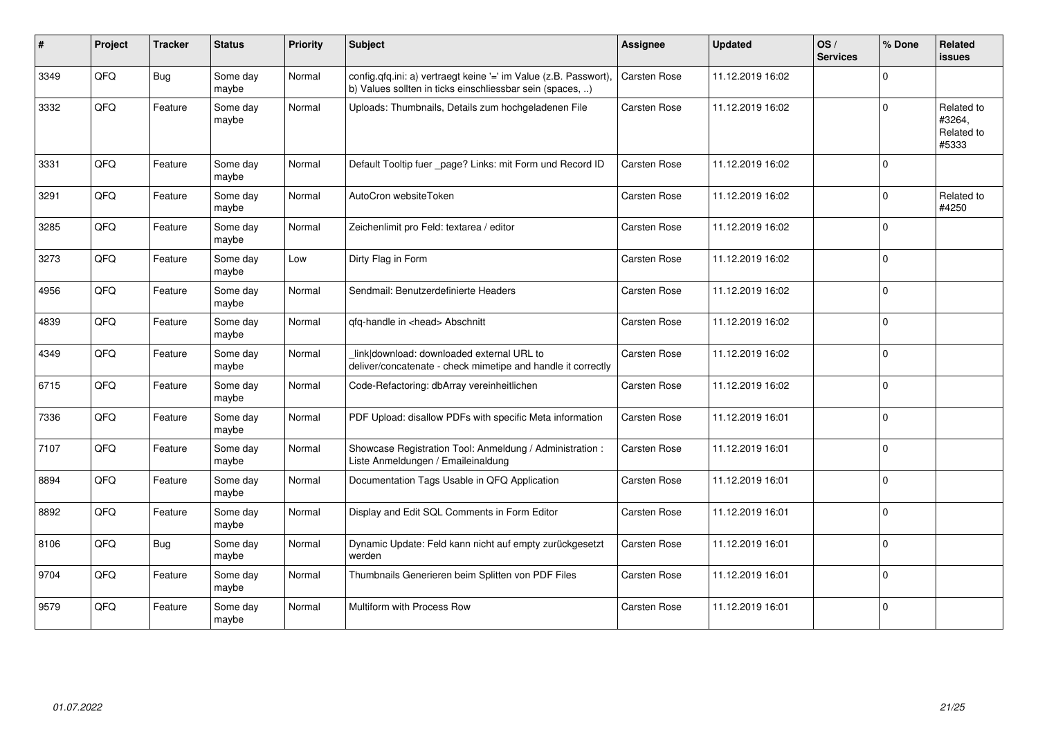| #    | Project | <b>Tracker</b> | <b>Status</b>     | <b>Priority</b> | <b>Subject</b>                                                                                                                | <b>Assignee</b> | <b>Updated</b>   | OS/<br><b>Services</b> | % Done      | Related<br><b>issues</b>                    |
|------|---------|----------------|-------------------|-----------------|-------------------------------------------------------------------------------------------------------------------------------|-----------------|------------------|------------------------|-------------|---------------------------------------------|
| 3349 | QFQ     | Bug            | Some day<br>maybe | Normal          | config.qfq.ini: a) vertraegt keine '=' im Value (z.B. Passwort),<br>b) Values sollten in ticks einschliessbar sein (spaces, ) | Carsten Rose    | 11.12.2019 16:02 |                        | $\mathbf 0$ |                                             |
| 3332 | QFQ     | Feature        | Some day<br>maybe | Normal          | Uploads: Thumbnails, Details zum hochgeladenen File                                                                           | Carsten Rose    | 11.12.2019 16:02 |                        | $\mathbf 0$ | Related to<br>#3264,<br>Related to<br>#5333 |
| 3331 | QFQ     | Feature        | Some day<br>maybe | Normal          | Default Tooltip fuer _page? Links: mit Form und Record ID                                                                     | Carsten Rose    | 11.12.2019 16:02 |                        | $\mathbf 0$ |                                             |
| 3291 | QFQ     | Feature        | Some day<br>maybe | Normal          | AutoCron websiteToken                                                                                                         | Carsten Rose    | 11.12.2019 16:02 |                        | $\mathbf 0$ | Related to<br>#4250                         |
| 3285 | QFQ     | Feature        | Some day<br>maybe | Normal          | Zeichenlimit pro Feld: textarea / editor                                                                                      | Carsten Rose    | 11.12.2019 16:02 |                        | $\mathbf 0$ |                                             |
| 3273 | QFQ     | Feature        | Some day<br>maybe | Low             | Dirty Flag in Form                                                                                                            | Carsten Rose    | 11.12.2019 16:02 |                        | $\mathbf 0$ |                                             |
| 4956 | QFQ     | Feature        | Some day<br>maybe | Normal          | Sendmail: Benutzerdefinierte Headers                                                                                          | Carsten Rose    | 11.12.2019 16:02 |                        | $\mathbf 0$ |                                             |
| 4839 | QFQ     | Feature        | Some day<br>maybe | Normal          | qfq-handle in <head> Abschnitt</head>                                                                                         | Carsten Rose    | 11.12.2019 16:02 |                        | $\mathbf 0$ |                                             |
| 4349 | QFQ     | Feature        | Some day<br>maybe | Normal          | link download: downloaded external URL to<br>deliver/concatenate - check mimetipe and handle it correctly                     | Carsten Rose    | 11.12.2019 16:02 |                        | $\mathbf 0$ |                                             |
| 6715 | QFQ     | Feature        | Some day<br>maybe | Normal          | Code-Refactoring: dbArray vereinheitlichen                                                                                    | Carsten Rose    | 11.12.2019 16:02 |                        | $\mathbf 0$ |                                             |
| 7336 | QFQ     | Feature        | Some day<br>maybe | Normal          | PDF Upload: disallow PDFs with specific Meta information                                                                      | Carsten Rose    | 11.12.2019 16:01 |                        | $\mathbf 0$ |                                             |
| 7107 | QFQ     | Feature        | Some day<br>maybe | Normal          | Showcase Registration Tool: Anmeldung / Administration :<br>Liste Anmeldungen / Emaileinaldung                                | Carsten Rose    | 11.12.2019 16:01 |                        | $\mathbf 0$ |                                             |
| 8894 | QFQ     | Feature        | Some day<br>maybe | Normal          | Documentation Tags Usable in QFQ Application                                                                                  | Carsten Rose    | 11.12.2019 16:01 |                        | $\mathbf 0$ |                                             |
| 8892 | QFQ     | Feature        | Some day<br>maybe | Normal          | Display and Edit SQL Comments in Form Editor                                                                                  | Carsten Rose    | 11.12.2019 16:01 |                        | $\mathbf 0$ |                                             |
| 8106 | QFQ     | <b>Bug</b>     | Some day<br>maybe | Normal          | Dynamic Update: Feld kann nicht auf empty zurückgesetzt<br>werden                                                             | Carsten Rose    | 11.12.2019 16:01 |                        | $\mathbf 0$ |                                             |
| 9704 | QFQ     | Feature        | Some day<br>maybe | Normal          | Thumbnails Generieren beim Splitten von PDF Files                                                                             | Carsten Rose    | 11.12.2019 16:01 |                        | $\pmb{0}$   |                                             |
| 9579 | QFQ     | Feature        | Some day<br>maybe | Normal          | Multiform with Process Row                                                                                                    | Carsten Rose    | 11.12.2019 16:01 |                        | $\pmb{0}$   |                                             |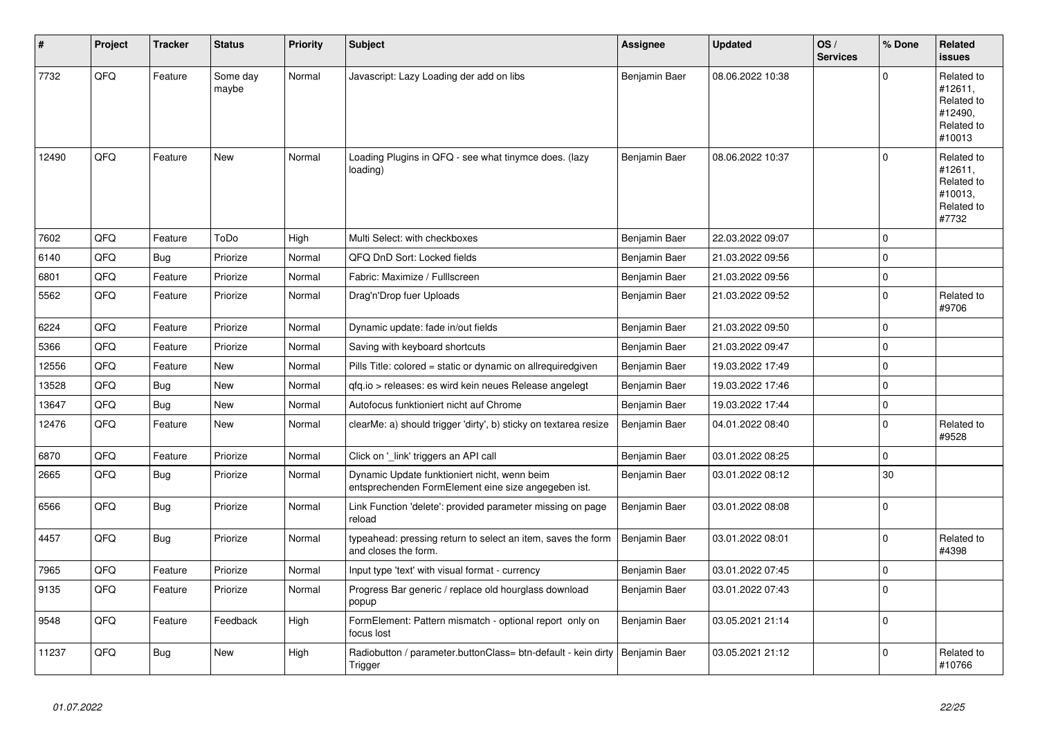| #     | Project | <b>Tracker</b> | <b>Status</b>     | <b>Priority</b> | <b>Subject</b>                                                                                      | <b>Assignee</b> | <b>Updated</b>   | OS/<br><b>Services</b> | % Done      | Related<br><b>issues</b>                                               |
|-------|---------|----------------|-------------------|-----------------|-----------------------------------------------------------------------------------------------------|-----------------|------------------|------------------------|-------------|------------------------------------------------------------------------|
| 7732  | QFQ     | Feature        | Some day<br>maybe | Normal          | Javascript: Lazy Loading der add on libs                                                            | Benjamin Baer   | 08.06.2022 10:38 |                        | $\Omega$    | Related to<br>#12611,<br>Related to<br>#12490,<br>Related to<br>#10013 |
| 12490 | QFQ     | Feature        | New               | Normal          | Loading Plugins in QFQ - see what tinymce does. (lazy<br>loading)                                   | Benjamin Baer   | 08.06.2022 10:37 |                        | $\Omega$    | Related to<br>#12611,<br>Related to<br>#10013,<br>Related to<br>#7732  |
| 7602  | QFQ     | Feature        | ToDo              | High            | Multi Select: with checkboxes                                                                       | Benjamin Baer   | 22.03.2022 09:07 |                        | $\Omega$    |                                                                        |
| 6140  | QFQ     | Bug            | Priorize          | Normal          | QFQ DnD Sort: Locked fields                                                                         | Benjamin Baer   | 21.03.2022 09:56 |                        | $\mathbf 0$ |                                                                        |
| 6801  | QFQ     | Feature        | Priorize          | Normal          | Fabric: Maximize / FullIscreen                                                                      | Benjamin Baer   | 21.03.2022 09:56 |                        | $\mathbf 0$ |                                                                        |
| 5562  | QFQ     | Feature        | Priorize          | Normal          | Drag'n'Drop fuer Uploads                                                                            | Benjamin Baer   | 21.03.2022 09:52 |                        | $\pmb{0}$   | Related to<br>#9706                                                    |
| 6224  | QFQ     | Feature        | Priorize          | Normal          | Dynamic update: fade in/out fields                                                                  | Benjamin Baer   | 21.03.2022 09:50 |                        | $\mathbf 0$ |                                                                        |
| 5366  | QFQ     | Feature        | Priorize          | Normal          | Saving with keyboard shortcuts                                                                      | Benjamin Baer   | 21.03.2022 09:47 |                        | $\pmb{0}$   |                                                                        |
| 12556 | QFQ     | Feature        | New               | Normal          | Pills Title: colored = static or dynamic on allrequiredgiven                                        | Benjamin Baer   | 19.03.2022 17:49 |                        | $\Omega$    |                                                                        |
| 13528 | QFQ     | Bug            | New               | Normal          | qfq.io > releases: es wird kein neues Release angelegt                                              | Benjamin Baer   | 19.03.2022 17:46 |                        | $\mathbf 0$ |                                                                        |
| 13647 | QFQ     | <b>Bug</b>     | <b>New</b>        | Normal          | Autofocus funktioniert nicht auf Chrome                                                             | Benjamin Baer   | 19.03.2022 17:44 |                        | $\mathbf 0$ |                                                                        |
| 12476 | QFQ     | Feature        | <b>New</b>        | Normal          | clearMe: a) should trigger 'dirty', b) sticky on textarea resize                                    | Benjamin Baer   | 04.01.2022 08:40 |                        | $\mathbf 0$ | Related to<br>#9528                                                    |
| 6870  | QFQ     | Feature        | Priorize          | Normal          | Click on '_link' triggers an API call                                                               | Benjamin Baer   | 03.01.2022 08:25 |                        | $\Omega$    |                                                                        |
| 2665  | QFQ     | <b>Bug</b>     | Priorize          | Normal          | Dynamic Update funktioniert nicht, wenn beim<br>entsprechenden FormElement eine size angegeben ist. | Benjamin Baer   | 03.01.2022 08:12 |                        | 30          |                                                                        |
| 6566  | QFQ     | <b>Bug</b>     | Priorize          | Normal          | Link Function 'delete': provided parameter missing on page<br>reload                                | Benjamin Baer   | 03.01.2022 08:08 |                        | $\Omega$    |                                                                        |
| 4457  | QFQ     | Bug            | Priorize          | Normal          | typeahead: pressing return to select an item, saves the form<br>and closes the form.                | Benjamin Baer   | 03.01.2022 08:01 |                        | $\Omega$    | Related to<br>#4398                                                    |
| 7965  | QFQ     | Feature        | Priorize          | Normal          | Input type 'text' with visual format - currency                                                     | Benjamin Baer   | 03.01.2022 07:45 |                        | $\mathbf 0$ |                                                                        |
| 9135  | QFQ     | Feature        | Priorize          | Normal          | Progress Bar generic / replace old hourglass download<br>popup                                      | Benjamin Baer   | 03.01.2022 07:43 |                        | $\Omega$    |                                                                        |
| 9548  | QFQ     | Feature        | Feedback          | High            | FormElement: Pattern mismatch - optional report only on<br>focus lost                               | Benjamin Baer   | 03.05.2021 21:14 |                        | $\mathbf 0$ |                                                                        |
| 11237 | QFQ     | <b>Bug</b>     | New               | High            | Radiobutton / parameter.buttonClass= btn-default - kein dirty<br>Trigger                            | Benjamin Baer   | 03.05.2021 21:12 |                        | $\Omega$    | Related to<br>#10766                                                   |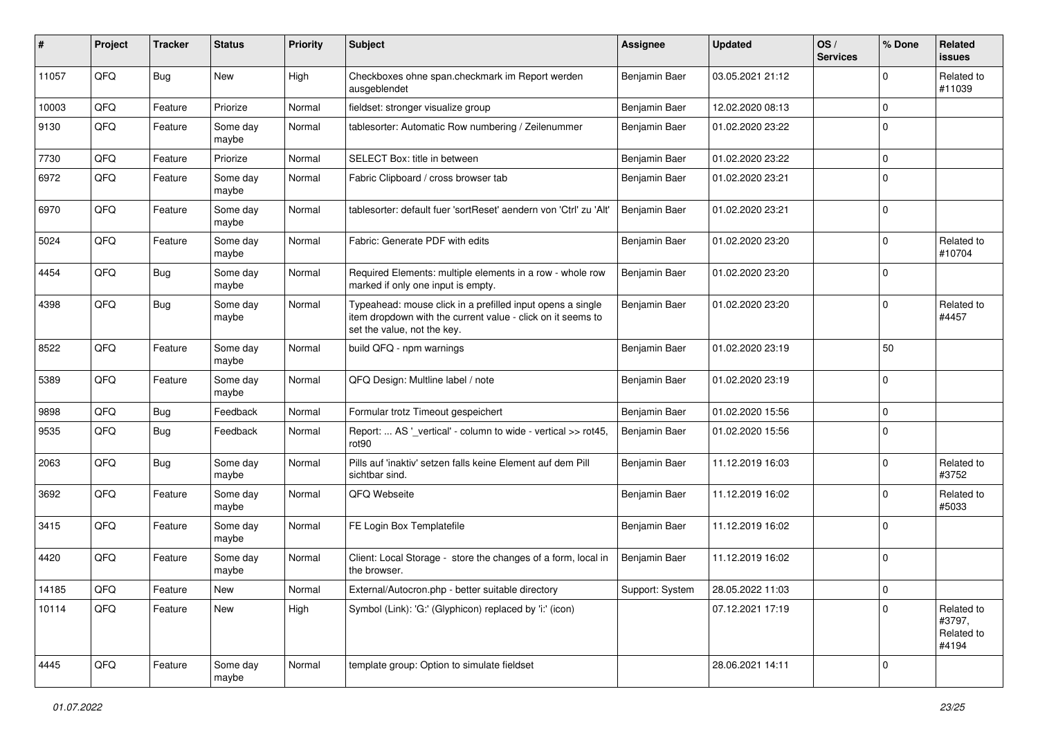| ∦     | Project | <b>Tracker</b> | <b>Status</b>     | <b>Priority</b> | Subject                                                                                                                                                  | Assignee        | <b>Updated</b>   | OS/<br><b>Services</b> | % Done   | Related<br>issues                           |
|-------|---------|----------------|-------------------|-----------------|----------------------------------------------------------------------------------------------------------------------------------------------------------|-----------------|------------------|------------------------|----------|---------------------------------------------|
| 11057 | QFQ     | Bug            | <b>New</b>        | High            | Checkboxes ohne span.checkmark im Report werden<br>ausgeblendet                                                                                          | Benjamin Baer   | 03.05.2021 21:12 |                        | $\Omega$ | Related to<br>#11039                        |
| 10003 | QFQ     | Feature        | Priorize          | Normal          | fieldset: stronger visualize group                                                                                                                       | Benjamin Baer   | 12.02.2020 08:13 |                        | $\Omega$ |                                             |
| 9130  | QFQ     | Feature        | Some day<br>maybe | Normal          | tablesorter: Automatic Row numbering / Zeilenummer                                                                                                       | Benjamin Baer   | 01.02.2020 23:22 |                        | $\Omega$ |                                             |
| 7730  | QFQ     | Feature        | Priorize          | Normal          | SELECT Box: title in between                                                                                                                             | Benjamin Baer   | 01.02.2020 23:22 |                        | $\Omega$ |                                             |
| 6972  | QFQ     | Feature        | Some day<br>maybe | Normal          | Fabric Clipboard / cross browser tab                                                                                                                     | Benjamin Baer   | 01.02.2020 23:21 |                        | $\Omega$ |                                             |
| 6970  | QFQ     | Feature        | Some day<br>maybe | Normal          | tablesorter: default fuer 'sortReset' aendern von 'Ctrl' zu 'Alt'                                                                                        | Benjamin Baer   | 01.02.2020 23:21 |                        | $\Omega$ |                                             |
| 5024  | QFQ     | Feature        | Some day<br>maybe | Normal          | Fabric: Generate PDF with edits                                                                                                                          | Benjamin Baer   | 01.02.2020 23:20 |                        | $\Omega$ | Related to<br>#10704                        |
| 4454  | QFQ     | Bug            | Some day<br>maybe | Normal          | Required Elements: multiple elements in a row - whole row<br>marked if only one input is empty.                                                          | Benjamin Baer   | 01.02.2020 23:20 |                        | $\Omega$ |                                             |
| 4398  | QFQ     | <b>Bug</b>     | Some day<br>maybe | Normal          | Typeahead: mouse click in a prefilled input opens a single<br>item dropdown with the current value - click on it seems to<br>set the value, not the key. | Benjamin Baer   | 01.02.2020 23:20 |                        | $\Omega$ | Related to<br>#4457                         |
| 8522  | QFQ     | Feature        | Some day<br>maybe | Normal          | build QFQ - npm warnings                                                                                                                                 | Benjamin Baer   | 01.02.2020 23:19 |                        | 50       |                                             |
| 5389  | QFQ     | Feature        | Some day<br>maybe | Normal          | QFQ Design: Multline label / note                                                                                                                        | Benjamin Baer   | 01.02.2020 23:19 |                        | $\Omega$ |                                             |
| 9898  | QFQ     | <b>Bug</b>     | Feedback          | Normal          | Formular trotz Timeout gespeichert                                                                                                                       | Benjamin Baer   | 01.02.2020 15:56 |                        | $\Omega$ |                                             |
| 9535  | QFQ     | <b>Bug</b>     | Feedback          | Normal          | Report:  AS '_vertical' - column to wide - vertical >> rot45,<br>rot90                                                                                   | Benjamin Baer   | 01.02.2020 15:56 |                        | $\Omega$ |                                             |
| 2063  | QFQ     | Bug            | Some day<br>maybe | Normal          | Pills auf 'inaktiv' setzen falls keine Element auf dem Pill<br>sichtbar sind.                                                                            | Benjamin Baer   | 11.12.2019 16:03 |                        | $\Omega$ | Related to<br>#3752                         |
| 3692  | QFQ     | Feature        | Some day<br>maybe | Normal          | QFQ Webseite                                                                                                                                             | Benjamin Baer   | 11.12.2019 16:02 |                        | $\Omega$ | Related to<br>#5033                         |
| 3415  | QFQ     | Feature        | Some day<br>maybe | Normal          | FE Login Box Templatefile                                                                                                                                | Benjamin Baer   | 11.12.2019 16:02 |                        | $\Omega$ |                                             |
| 4420  | QFQ     | Feature        | Some day<br>maybe | Normal          | Client: Local Storage - store the changes of a form, local in<br>the browser.                                                                            | Benjamin Baer   | 11.12.2019 16:02 |                        | $\Omega$ |                                             |
| 14185 | QFG     | Feature        | New               | Normal          | External/Autocron.php - better suitable directory                                                                                                        | Support: System | 28.05.2022 11:03 |                        | 0        |                                             |
| 10114 | QFQ     | Feature        | New               | High            | Symbol (Link): 'G:' (Glyphicon) replaced by 'i:' (icon)                                                                                                  |                 | 07.12.2021 17:19 |                        | $\Omega$ | Related to<br>#3797,<br>Related to<br>#4194 |
| 4445  | QFQ     | Feature        | Some day<br>maybe | Normal          | template group: Option to simulate fieldset                                                                                                              |                 | 28.06.2021 14:11 |                        | 0        |                                             |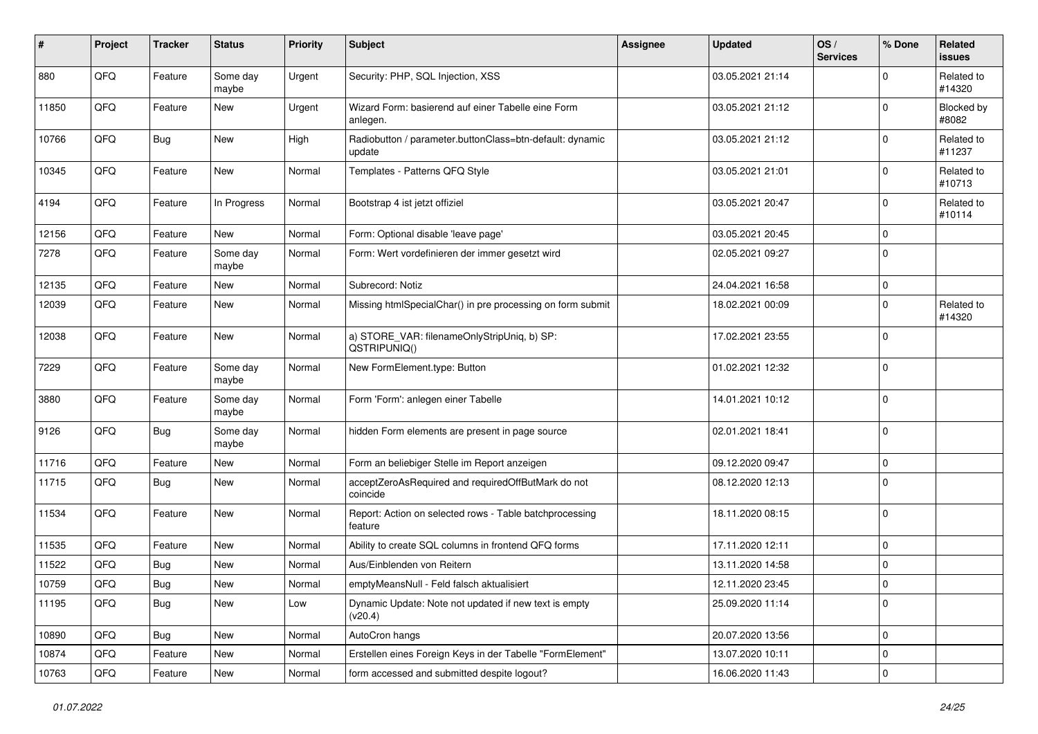| #     | Project | <b>Tracker</b> | <b>Status</b>     | <b>Priority</b> | <b>Subject</b>                                                     | <b>Assignee</b> | <b>Updated</b>   | OS/<br><b>Services</b> | % Done      | Related<br>issues    |
|-------|---------|----------------|-------------------|-----------------|--------------------------------------------------------------------|-----------------|------------------|------------------------|-------------|----------------------|
| 880   | QFQ     | Feature        | Some day<br>maybe | Urgent          | Security: PHP, SQL Injection, XSS                                  |                 | 03.05.2021 21:14 |                        | $\mathbf 0$ | Related to<br>#14320 |
| 11850 | QFQ     | Feature        | New               | Urgent          | Wizard Form: basierend auf einer Tabelle eine Form<br>anlegen.     |                 | 03.05.2021 21:12 |                        | $\Omega$    | Blocked by<br>#8082  |
| 10766 | QFQ     | Bug            | <b>New</b>        | High            | Radiobutton / parameter.buttonClass=btn-default: dynamic<br>update |                 | 03.05.2021 21:12 |                        | $\mathbf 0$ | Related to<br>#11237 |
| 10345 | QFQ     | Feature        | New               | Normal          | Templates - Patterns QFQ Style                                     |                 | 03.05.2021 21:01 |                        | 0           | Related to<br>#10713 |
| 4194  | QFQ     | Feature        | In Progress       | Normal          | Bootstrap 4 ist jetzt offiziel                                     |                 | 03.05.2021 20:47 |                        | $\mathbf 0$ | Related to<br>#10114 |
| 12156 | QFQ     | Feature        | New               | Normal          | Form: Optional disable 'leave page'                                |                 | 03.05.2021 20:45 |                        | 0           |                      |
| 7278  | QFQ     | Feature        | Some day<br>maybe | Normal          | Form: Wert vordefinieren der immer gesetzt wird                    |                 | 02.05.2021 09:27 |                        | $\mathbf 0$ |                      |
| 12135 | QFQ     | Feature        | New               | Normal          | Subrecord: Notiz                                                   |                 | 24.04.2021 16:58 |                        | $\pmb{0}$   |                      |
| 12039 | QFQ     | Feature        | New               | Normal          | Missing htmlSpecialChar() in pre processing on form submit         |                 | 18.02.2021 00:09 |                        | 0           | Related to<br>#14320 |
| 12038 | QFQ     | Feature        | New               | Normal          | a) STORE_VAR: filenameOnlyStripUniq, b) SP:<br>QSTRIPUNIQ()        |                 | 17.02.2021 23:55 |                        | $\mathbf 0$ |                      |
| 7229  | QFQ     | Feature        | Some day<br>maybe | Normal          | New FormElement.type: Button                                       |                 | 01.02.2021 12:32 |                        | 0           |                      |
| 3880  | QFQ     | Feature        | Some day<br>maybe | Normal          | Form 'Form': anlegen einer Tabelle                                 |                 | 14.01.2021 10:12 |                        | $\pmb{0}$   |                      |
| 9126  | QFQ     | Bug            | Some day<br>maybe | Normal          | hidden Form elements are present in page source                    |                 | 02.01.2021 18:41 |                        | $\mathbf 0$ |                      |
| 11716 | QFQ     | Feature        | New               | Normal          | Form an beliebiger Stelle im Report anzeigen                       |                 | 09.12.2020 09:47 |                        | $\mathbf 0$ |                      |
| 11715 | QFQ     | Bug            | <b>New</b>        | Normal          | acceptZeroAsRequired and requiredOffButMark do not<br>coincide     |                 | 08.12.2020 12:13 |                        | $\Omega$    |                      |
| 11534 | QFQ     | Feature        | <b>New</b>        | Normal          | Report: Action on selected rows - Table batchprocessing<br>feature |                 | 18.11.2020 08:15 |                        | $\mathbf 0$ |                      |
| 11535 | QFQ     | Feature        | <b>New</b>        | Normal          | Ability to create SQL columns in frontend QFQ forms                |                 | 17.11.2020 12:11 |                        | 0           |                      |
| 11522 | QFQ     | <b>Bug</b>     | New               | Normal          | Aus/Einblenden von Reitern                                         |                 | 13.11.2020 14:58 |                        | $\mathbf 0$ |                      |
| 10759 | QFQ     | Bug            | New               | Normal          | emptyMeansNull - Feld falsch aktualisiert                          |                 | 12.11.2020 23:45 |                        | $\pmb{0}$   |                      |
| 11195 | QFQ     | Bug            | New               | Low             | Dynamic Update: Note not updated if new text is empty<br>(v20.4)   |                 | 25.09.2020 11:14 |                        | $\mathbf 0$ |                      |
| 10890 | QFQ     | <b>Bug</b>     | New               | Normal          | AutoCron hangs                                                     |                 | 20.07.2020 13:56 |                        | 0           |                      |
| 10874 | QFQ     | Feature        | New               | Normal          | Erstellen eines Foreign Keys in der Tabelle "FormElement"          |                 | 13.07.2020 10:11 |                        | $\pmb{0}$   |                      |
| 10763 | QFQ     | Feature        | New               | Normal          | form accessed and submitted despite logout?                        |                 | 16.06.2020 11:43 |                        | $\pmb{0}$   |                      |